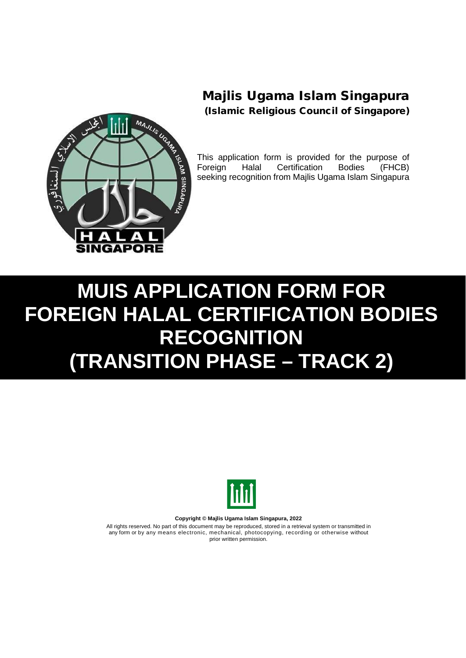

This application form is provided for the purpose of<br>Foreign Halal Certification Bodies (FHCB) Foreign Halal Certification Bodies (FHCB) seeking recognition from Majlis Ugama Islam Singapura

## **MUIS APPLICATION FORM FOR FOREIGN HALAL CERTIFICATION BODIES RECOGNITION (TRANSITION PHASE – TRACK 2)**



**Copyright © Majlis Ugama Islam Singapura, 2022**

All rights reserved. No part of this document may be reproduced, stored in a retrieval system or transmitted in any form or by any means electronic, mechanical, photocopying, recording or otherwise without prior written permission.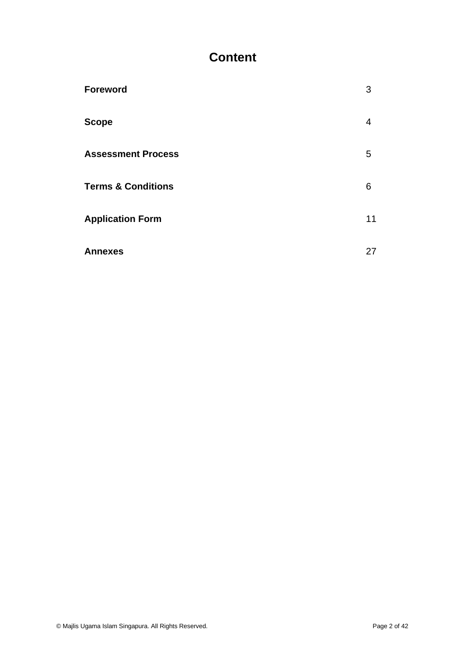## **Content**

| <b>Foreword</b>               | 3  |
|-------------------------------|----|
| <b>Scope</b>                  | 4  |
| <b>Assessment Process</b>     | 5  |
| <b>Terms &amp; Conditions</b> | 6  |
| <b>Application Form</b>       | 11 |
| <b>Annexes</b>                | 27 |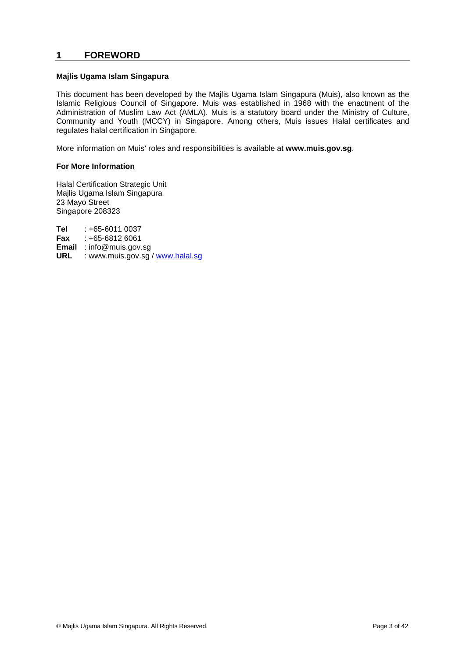### **1 FOREWORD**

#### **Majlis Ugama Islam Singapura**

This document has been developed by the Majlis Ugama Islam Singapura (Muis), also known as the Islamic Religious Council of Singapore. Muis was established in 1968 with the enactment of the Administration of Muslim Law Act (AMLA). Muis is a statutory board under the Ministry of Culture, Community and Youth (MCCY) in Singapore. Among others, Muis issues Halal certificates and regulates halal certification in Singapore.

More information on Muis' roles and responsibilities is available at **www.muis.gov.sg**.

#### **For More Information**

Halal Certification Strategic Unit Majlis Ugama Islam Singapura 23 Mayo Street Singapore 208323

**Tel** : +65-6011 0037<br>**Fax** : +65-6812 6061 **Fax** : +65-6812 6061 **Email** : info@muis.gov.sg URL : www.muis.gov.sg / www.halal.sg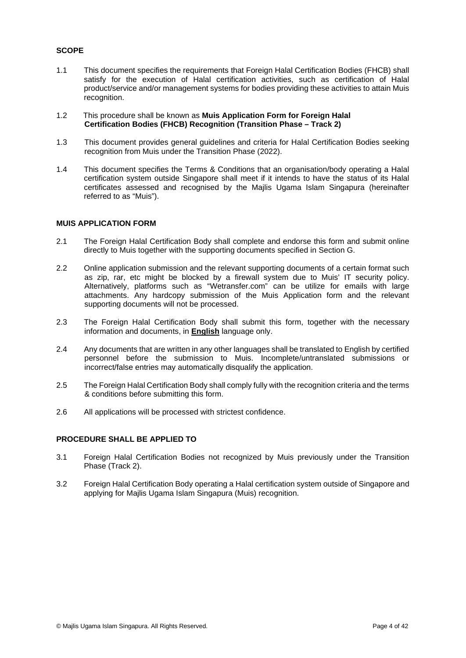### **SCOPE**

- 1.1 This document specifies the requirements that Foreign Halal Certification Bodies (FHCB) shall satisfy for the execution of Halal certification activities, such as certification of Halal product/service and/or management systems for bodies providing these activities to attain Muis recognition.
- 1.2 This procedure shall be known as **Muis Application Form for Foreign Halal Certification Bodies (FHCB) Recognition (Transition Phase – Track 2)**
- 1.3 This document provides general guidelines and criteria for Halal Certification Bodies seeking recognition from Muis under the Transition Phase (2022).
- 1.4 This document specifies the Terms & Conditions that an organisation/body operating a Halal certification system outside Singapore shall meet if it intends to have the status of its Halal certificates assessed and recognised by the Majlis Ugama Islam Singapura (hereinafter referred to as "Muis").

#### **MUIS APPLICATION FORM**

- 2.1 The Foreign Halal Certification Body shall complete and endorse this form and submit online directly to Muis together with the supporting documents specified in Section G.
- 2.2 Online application submission and the relevant supporting documents of a certain format such as zip, rar, etc might be blocked by a firewall system due to Muis' IT security policy. Alternatively, platforms such as "Wetransfer.com" can be utilize for emails with large attachments. Any hardcopy submission of the Muis Application form and the relevant supporting documents will not be processed.
- 2.3 The Foreign Halal Certification Body shall submit this form, together with the necessary information and documents, in **English** language only.
- 2.4 Any documents that are written in any other languages shall be translated to English by certified personnel before the submission to Muis. Incomplete/untranslated submissions or incorrect/false entries may automatically disqualify the application.
- 2.5 The Foreign Halal Certification Body shall comply fully with the recognition criteria and the terms & conditions before submitting this form.
- 2.6 All applications will be processed with strictest confidence.

#### **PROCEDURE SHALL BE APPLIED TO**

- 3.1 Foreign Halal Certification Bodies not recognized by Muis previously under the Transition Phase (Track 2).
- 3.2 Foreign Halal Certification Body operating a Halal certification system outside of Singapore and applying for Majlis Ugama Islam Singapura (Muis) recognition.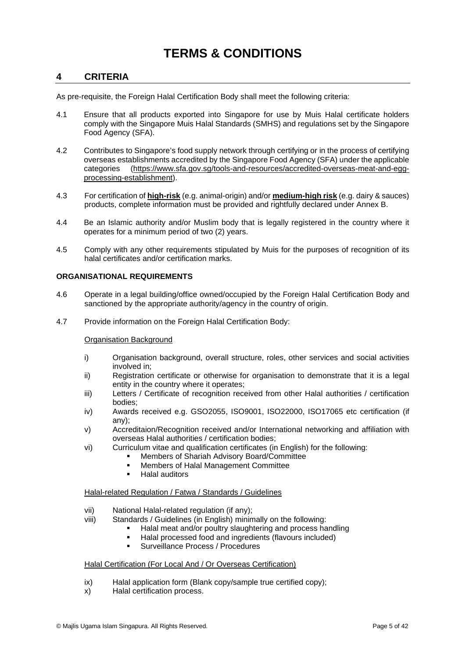## **TERMS & CONDITIONS**

### **4 CRITERIA**

As pre-requisite, the Foreign Halal Certification Body shall meet the following criteria:

- 4.1 Ensure that all products exported into Singapore for use by Muis Halal certificate holders comply with the Singapore Muis Halal Standards (SMHS) and regulations set by the Singapore Food Agency (SFA).
- 4.2 Contributes to Singapore's food supply network through certifying or in the process of certifying overseas establishments accredited by the Singapore Food Agency (SFA) under the applicable categories (https://www.sfa.gov.sg/tools-and-resources/accredited-overseas-meat-and-eggprocessing-establishment).
- 4.3 For certification of **high-risk** (e.g. animal-origin) and/or **medium-high risk** (e.g. dairy & sauces) products, complete information must be provided and rightfully declared under Annex B.
- 4.4 Be an Islamic authority and/or Muslim body that is legally registered in the country where it operates for a minimum period of two (2) years.
- 4.5 Comply with any other requirements stipulated by Muis for the purposes of recognition of its halal certificates and/or certification marks.

#### **ORGANISATIONAL REQUIREMENTS**

- 4.6 Operate in a legal building/office owned/occupied by the Foreign Halal Certification Body and sanctioned by the appropriate authority/agency in the country of origin.
- 4.7 Provide information on the Foreign Halal Certification Body:

#### Organisation Background

- i) Organisation background, overall structure, roles, other services and social activities involved in;
- ii) Registration certificate or otherwise for organisation to demonstrate that it is a legal entity in the country where it operates;
- iii) Letters / Certificate of recognition received from other Halal authorities / certification bodies;
- iv) Awards received e.g. GSO2055, ISO9001, ISO22000, ISO17065 etc certification (if any);
- v) Accreditaion/Recognition received and/or International networking and affiliation with overseas Halal authorities / certification bodies;
- vi) Curriculum vitae and qualification certificates (in English) for the following:
	- Members of Shariah Advisory Board/Committee
	- Members of Halal Management Committee
	- Halal auditors

#### Halal-related Regulation / Fatwa / Standards / Guidelines

- vii) National Halal-related regulation (if any);
- viii) Standards / Guidelines (in English) minimally on the following:
	- Halal meat and/or poultry slaughtering and process handling
	- Halal processed food and ingredients (flavours included)
		- Surveillance Process / Procedures

#### Halal Certification (For Local And / Or Overseas Certification)

- ix) Halal application form (Blank copy/sample true certified copy);
- x) Halal certification process.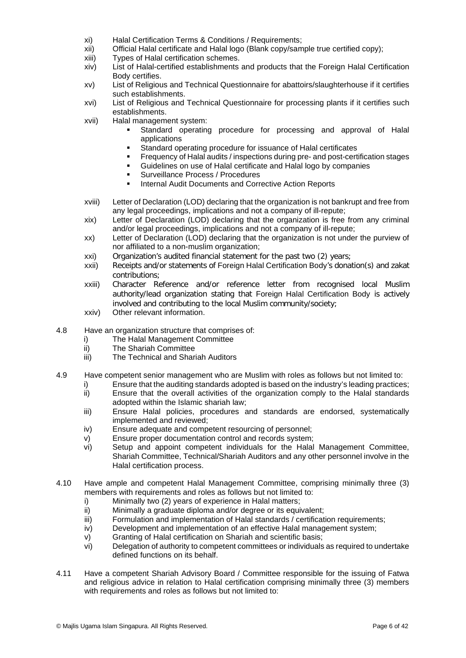- xi) Halal Certification Terms & Conditions / Requirements;
- xii) Official Halal certificate and Halal logo (Blank copy/sample true certified copy);
- Types of Halal certification schemes.
- xiv) List of Halal-certified establishments and products that the Foreign Halal Certification Body certifies.
- xv) List of Religious and Technical Questionnaire for abattoirs/slaughterhouse if it certifies such establishments.
- xvi) List of Religious and Technical Questionnaire for processing plants if it certifies such establishments.
- xvii) Halal management system:
	- Standard operating procedure for processing and approval of Halal applications
	- Standard operating procedure for issuance of Halal certificates
	- **Find and Frequency of Halal audits / inspections during pre- and post-certification stages**
	- Guidelines on use of Halal certificate and Halal logo by companies
	- **Surveillance Process / Procedures**
	- **Internal Audit Documents and Corrective Action Reports**
- xviii) Letter of Declaration (LOD) declaring that the organization is not bankrupt and free from any legal proceedings, implications and not a company of ill-repute;
- xix) Letter of Declaration (LOD) declaring that the organization is free from any criminal and/or legal proceedings, implications and not a company of ill-repute;
- xx) Letter of Declaration (LOD) declaring that the organization is not under the purview of nor affiliated to a non-muslim organization;
- xxi) Organization's audited financial statement for the past two (2) years;
- xxii) Receipts and/or statements of Foreign Halal Certification Body's donation(s) and zakat contributions;
- xxiii) Character Reference and/or reference letter from recognised local Muslim authority/lead organization stating that Foreign Halal Certification Body is actively involved and contributing to the local Muslim community/society;
- xxiv) Other relevant information.
- 4.8 Have an organization structure that comprises of:
	- i) The Halal Management Committee
	- ii) The Shariah Committee
	- iii) The Technical and Shariah Auditors
- 4.9 Have competent senior management who are Muslim with roles as follows but not limited to:
	- i) Ensure that the auditing standards adopted is based on the industry's leading practices;
	- ii) Ensure that the overall activities of the organization comply to the Halal standards adopted within the Islamic shariah law;
	- iii) Ensure Halal policies, procedures and standards are endorsed, systematically implemented and reviewed;
	- iv) Ensure adequate and competent resourcing of personnel;
	- v) Ensure proper documentation control and records system;
	- vi) Setup and appoint competent individuals for the Halal Management Committee, Shariah Committee, Technical/Shariah Auditors and any other personnel involve in the Halal certification process.
- 4.10 Have ample and competent Halal Management Committee, comprising minimally three (3) members with requirements and roles as follows but not limited to:
	- i) Minimally two (2) years of experience in Halal matters;
	- ii) Minimally a graduate diploma and/or degree or its equivalent;
	- iii) Formulation and implementation of Halal standards / certification requirements;
	- iv) Development and implementation of an effective Halal management system;
	- v) Granting of Halal certification on Shariah and scientific basis;
	- vi) Delegation of authority to competent committees or individuals as required to undertake defined functions on its behalf.
- 4.11 Have a competent Shariah Advisory Board / Committee responsible for the issuing of Fatwa and religious advice in relation to Halal certification comprising minimally three (3) members with requirements and roles as follows but not limited to: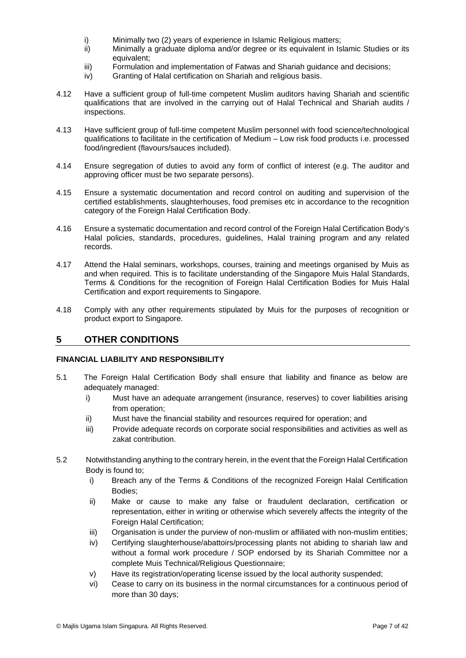- i) Minimally two (2) years of experience in Islamic Religious matters;<br>ii) Minimally a graduate diploma and/or degree or its equivalent in Is
- Minimally a graduate diploma and/or degree or its equivalent in Islamic Studies or its equivalent;
- iii) Formulation and implementation of Fatwas and Shariah guidance and decisions;<br>iv) Granting of Halal certification on Shariah and religious basis.
- Granting of Halal certification on Shariah and religious basis.
- 4.12 Have a sufficient group of full-time competent Muslim auditors having Shariah and scientific qualifications that are involved in the carrying out of Halal Technical and Shariah audits / inspections.
- 4.13 Have sufficient group of full-time competent Muslim personnel with food science/technological qualifications to facilitate in the certification of Medium – Low risk food products i.e. processed food/ingredient (flavours/sauces included).
- 4.14 Ensure segregation of duties to avoid any form of conflict of interest (e.g. The auditor and approving officer must be two separate persons).
- 4.15 Ensure a systematic documentation and record control on auditing and supervision of the certified establishments, slaughterhouses, food premises etc in accordance to the recognition category of the Foreign Halal Certification Body.
- 4.16 Ensure a systematic documentation and record control of the Foreign Halal Certification Body's Halal policies, standards, procedures, guidelines, Halal training program and any related records.
- 4.17 Attend the Halal seminars, workshops, courses, training and meetings organised by Muis as and when required. This is to facilitate understanding of the Singapore Muis Halal Standards, Terms & Conditions for the recognition of Foreign Halal Certification Bodies for Muis Halal Certification and export requirements to Singapore.
- 4.18 Comply with any other requirements stipulated by Muis for the purposes of recognition or product export to Singapore.

### **5 OTHER CONDITIONS**

#### **FINANCIAL LIABILITY AND RESPONSIBILITY**

- 5.1 The Foreign Halal Certification Body shall ensure that liability and finance as below are adequately managed:
	- i) Must have an adequate arrangement (insurance, reserves) to cover liabilities arising from operation;
	- ii) Must have the financial stability and resources required for operation; and
	- iii) Provide adequate records on corporate social responsibilities and activities as well as zakat contribution.
- 5.2 Notwithstanding anything to the contrary herein, in the event that the Foreign Halal Certification Body is found to;
	- i) Breach any of the Terms & Conditions of the recognized Foreign Halal Certification Bodies;
	- ii) Make or cause to make any false or fraudulent declaration, certification or representation, either in writing or otherwise which severely affects the integrity of the Foreign Halal Certification;
	- iii) Organisation is under the purview of non-muslim or affiliated with non-muslim entities;
	- iv) Certifying slaughterhouse/abattoirs/processing plants not abiding to shariah law and without a formal work procedure / SOP endorsed by its Shariah Committee nor a complete Muis Technical/Religious Questionnaire;
	- v) Have its registration/operating license issued by the local authority suspended;
	- vi) Cease to carry on its business in the normal circumstances for a continuous period of more than 30 days;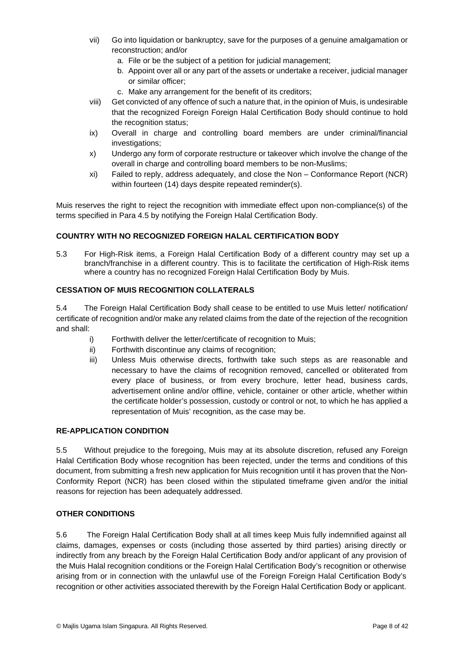- vii) Go into liquidation or bankruptcy, save for the purposes of a genuine amalgamation or reconstruction; and/or
	- a. File or be the subject of a petition for judicial management;
	- b. Appoint over all or any part of the assets or undertake a receiver, judicial manager or similar officer;
	- c. Make any arrangement for the benefit of its creditors;
- viii) Get convicted of any offence of such a nature that, in the opinion of Muis, is undesirable that the recognized Foreign Foreign Halal Certification Body should continue to hold the recognition status;
- ix) Overall in charge and controlling board members are under criminal/financial investigations;
- x) Undergo any form of corporate restructure or takeover which involve the change of the overall in charge and controlling board members to be non-Muslims;
- xi) Failed to reply, address adequately, and close the Non Conformance Report (NCR) within fourteen (14) days despite repeated reminder(s).

Muis reserves the right to reject the recognition with immediate effect upon non-compliance(s) of the terms specified in Para 4.5 by notifying the Foreign Halal Certification Body.

#### **COUNTRY WITH NO RECOGNIZED FOREIGN HALAL CERTIFICATION BODY**

5.3 For High-Risk items, a Foreign Halal Certification Body of a different country may set up a branch/franchise in a different country. This is to facilitate the certification of High-Risk items where a country has no recognized Foreign Halal Certification Body by Muis.

### **CESSATION OF MUIS RECOGNITION COLLATERALS**

5.4 The Foreign Halal Certification Body shall cease to be entitled to use Muis letter/ notification/ certificate of recognition and/or make any related claims from the date of the rejection of the recognition and shall:

- i) Forthwith deliver the letter/certificate of recognition to Muis;
- ii) Forthwith discontinue any claims of recognition;
- iii) Unless Muis otherwise directs, forthwith take such steps as are reasonable and necessary to have the claims of recognition removed, cancelled or obliterated from every place of business, or from every brochure, letter head, business cards, advertisement online and/or offline, vehicle, container or other article, whether within the certificate holder's possession, custody or control or not, to which he has applied a representation of Muis' recognition, as the case may be.

#### **RE-APPLICATION CONDITION**

5.5 Without prejudice to the foregoing, Muis may at its absolute discretion, refused any Foreign Halal Certification Body whose recognition has been rejected, under the terms and conditions of this document, from submitting a fresh new application for Muis recognition until it has proven that the Non-Conformity Report (NCR) has been closed within the stipulated timeframe given and/or the initial reasons for rejection has been adequately addressed.

#### **OTHER CONDITIONS**

5.6 The Foreign Halal Certification Body shall at all times keep Muis fully indemnified against all claims, damages, expenses or costs (including those asserted by third parties) arising directly or indirectly from any breach by the Foreign Halal Certification Body and/or applicant of any provision of the Muis Halal recognition conditions or the Foreign Halal Certification Body's recognition or otherwise arising from or in connection with the unlawful use of the Foreign Foreign Halal Certification Body's recognition or other activities associated therewith by the Foreign Halal Certification Body or applicant.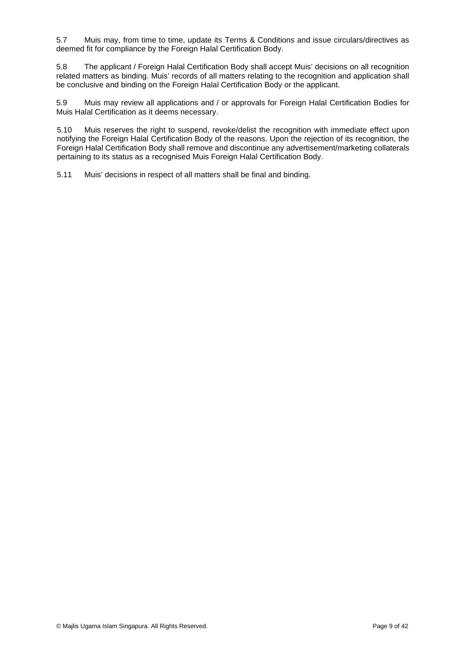5.7 Muis may, from time to time, update its Terms & Conditions and issue circulars/directives as deemed fit for compliance by the Foreign Halal Certification Body.

5.8 The applicant / Foreign Halal Certification Body shall accept Muis' decisions on all recognition related matters as binding. Muis' records of all matters relating to the recognition and application shall be conclusive and binding on the Foreign Halal Certification Body or the applicant.

5.9 Muis may review all applications and / or approvals for Foreign Halal Certification Bodies for Muis Halal Certification as it deems necessary.

5.10 Muis reserves the right to suspend, revoke/delist the recognition with immediate effect upon notifying the Foreign Halal Certification Body of the reasons. Upon the rejection of its recognition, the Foreign Halal Certification Body shall remove and discontinue any advertisement/marketing collaterals pertaining to its status as a recognised Muis Foreign Halal Certification Body.

5.11 Muis' decisions in respect of all matters shall be final and binding.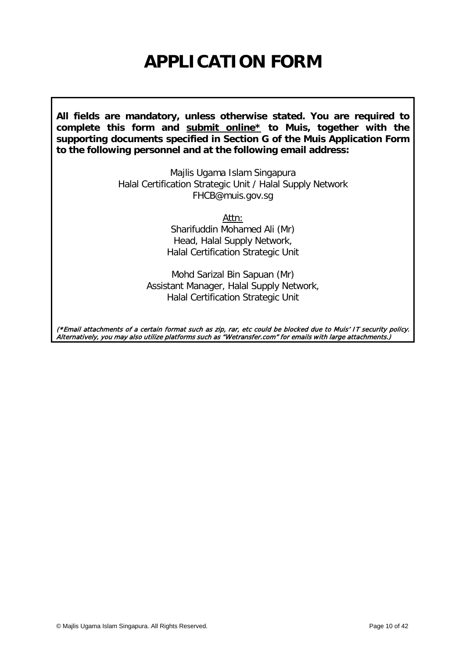## **APPLICATION FORM**

**All fields are mandatory, unless otherwise stated. You are required to complete this form and submit online\* to Muis, together with the supporting documents specified in Section G of the Muis Application Form to the following personnel and at the following email address:**

> Majlis Ugama Islam Singapura Halal Certification Strategic Unit / Halal Supply Network FHCB@muis.gov.sg

> > Attn:

Sharifuddin Mohamed Ali (Mr) Head, Halal Supply Network, Halal Certification Strategic Unit

Mohd Sarizal Bin Sapuan (Mr) Assistant Manager, Halal Supply Network, Halal Certification Strategic Unit

(\*Email attachments of a certain format such as zip, rar, etc could be blocked due to Muis' IT security policy. Alternatively, you may also utilize platforms such as "Wetransfer.com" for emails with large attachments.)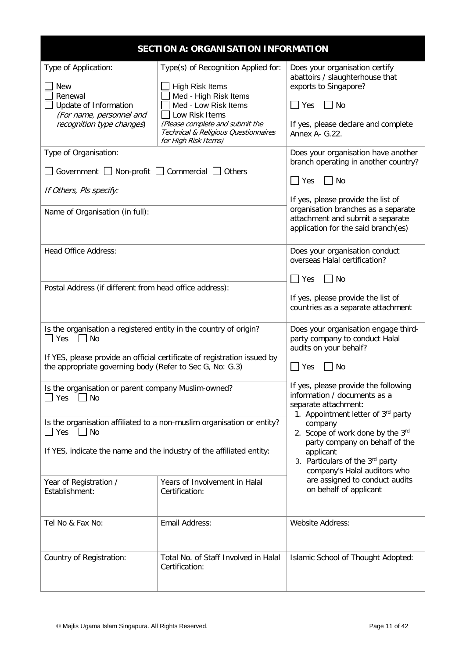| <b>SECTION A: ORGANISATION INFORMATION</b>                                                                                                                                                                             |                                                                                                                                                                                                                                     |                                                                                                                                                                                |  |
|------------------------------------------------------------------------------------------------------------------------------------------------------------------------------------------------------------------------|-------------------------------------------------------------------------------------------------------------------------------------------------------------------------------------------------------------------------------------|--------------------------------------------------------------------------------------------------------------------------------------------------------------------------------|--|
| Type of Application:<br><b>New</b><br>Renewal<br>Update of Information<br>(For name, personnel and<br>recognition type changes)                                                                                        | Type(s) of Recognition Applied for:<br><b>High Risk Items</b><br>Med - High Risk Items<br>Med - Low Risk Items<br>Low Risk Items<br>(Please complete and submit the<br>Technical & Religious Questionnaires<br>for High Risk Items) | Does your organisation certify<br>abattoirs / slaughterhouse that<br>exports to Singapore?<br>$\Box$ Yes<br><b>No</b><br>If yes, please declare and complete<br>Annex A- G.22. |  |
| Type of Organisation:                                                                                                                                                                                                  |                                                                                                                                                                                                                                     | Does your organisation have another<br>branch operating in another country?                                                                                                    |  |
| Government $\Box$ Non-profit $\Box$<br>If Others, Pls specify:                                                                                                                                                         | Commercial<br>Others                                                                                                                                                                                                                | $\Box$ Yes<br>No<br>If yes, please provide the list of<br>organisation branches as a separate                                                                                  |  |
| Name of Organisation (in full):                                                                                                                                                                                        |                                                                                                                                                                                                                                     | attachment and submit a separate<br>application for the said branch(es)                                                                                                        |  |
| <b>Head Office Address:</b>                                                                                                                                                                                            |                                                                                                                                                                                                                                     | Does your organisation conduct<br>overseas Halal certification?<br>$\blacksquare$ Yes<br>No                                                                                    |  |
| Postal Address (if different from head office address):                                                                                                                                                                |                                                                                                                                                                                                                                     | If yes, please provide the list of<br>countries as a separate attachment                                                                                                       |  |
| Is the organisation a registered entity in the country of origin?<br>Yes<br>No<br>If YES, please provide an official certificate of registration issued by<br>the appropriate governing body (Refer to Sec G, No: G.3) |                                                                                                                                                                                                                                     | Does your organisation engage third-<br>party company to conduct Halal<br>audits on your behalf?<br>$\Box$ Yes<br>No                                                           |  |
| Is the organisation or parent company Muslim-owned?<br>$ $ Yes<br>  No                                                                                                                                                 |                                                                                                                                                                                                                                     | If yes, please provide the following<br>information / documents as a<br>separate attachment:<br>1. Appointment letter of 3rd party                                             |  |
| Is the organisation affiliated to a non-muslim organisation or entity?<br>$\Box$ Yes $\Box$ No<br>If YES, indicate the name and the industry of the affiliated entity:                                                 |                                                                                                                                                                                                                                     | company<br>2. Scope of work done by the 3rd<br>party company on behalf of the<br>applicant<br>3. Particulars of the 3rd party<br>company's Halal auditors who                  |  |
| Year of Registration /<br>Establishment:                                                                                                                                                                               | Years of Involvement in Halal<br>Certification:                                                                                                                                                                                     | are assigned to conduct audits<br>on behalf of applicant                                                                                                                       |  |
| Tel No & Fax No:                                                                                                                                                                                                       | Email Address:                                                                                                                                                                                                                      | <b>Website Address:</b>                                                                                                                                                        |  |
| Country of Registration:                                                                                                                                                                                               | Total No. of Staff Involved in Halal<br>Certification:                                                                                                                                                                              | Islamic School of Thought Adopted:                                                                                                                                             |  |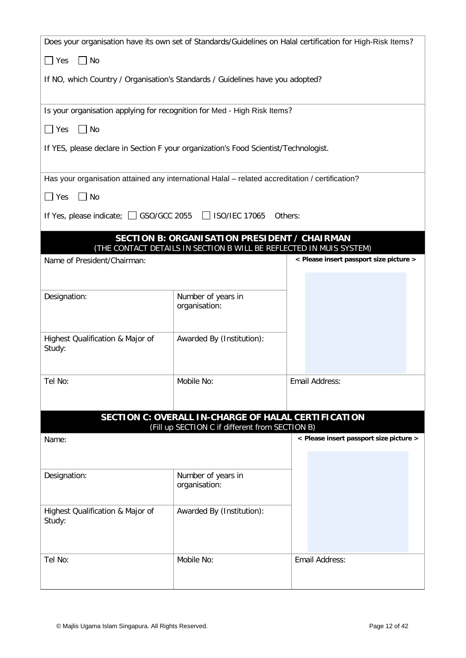| Does your organisation have its own set of Standards/Guidelines on Halal certification for High-Risk Items? |                                                                                                                            |                                         |
|-------------------------------------------------------------------------------------------------------------|----------------------------------------------------------------------------------------------------------------------------|-----------------------------------------|
| $\Box$ No<br>$\Box$ Yes                                                                                     |                                                                                                                            |                                         |
| If NO, which Country / Organisation's Standards / Guidelines have you adopted?                              |                                                                                                                            |                                         |
| Is your organisation applying for recognition for Med - High Risk Items?                                    |                                                                                                                            |                                         |
| $\Box$ No<br>$\Box$ Yes                                                                                     |                                                                                                                            |                                         |
| If YES, please declare in Section F your organization's Food Scientist/Technologist.                        |                                                                                                                            |                                         |
| Has your organisation attained any international Halal - related accreditation / certification?             |                                                                                                                            |                                         |
| $\Box$ No<br>$\Box$ Yes                                                                                     |                                                                                                                            |                                         |
| If Yes, please indicate; 3 GSO/GCC 2055 3 ISO/IEC 17065                                                     | Others:                                                                                                                    |                                         |
|                                                                                                             | <b>SECTION B: ORGANISATION PRESIDENT / CHAIRMAN</b><br>(THE CONTACT DETAILS IN SECTION B WILL BE REFLECTED IN MUIS SYSTEM) |                                         |
| Name of President/Chairman:                                                                                 |                                                                                                                            | < Please insert passport size picture > |
|                                                                                                             |                                                                                                                            |                                         |
| Designation:                                                                                                | Number of years in<br>organisation:                                                                                        |                                         |
|                                                                                                             |                                                                                                                            |                                         |
| Highest Qualification & Major of<br>Study:                                                                  | Awarded By (Institution):                                                                                                  |                                         |
| Tel No:                                                                                                     | Mobile No:                                                                                                                 | Email Address:                          |
|                                                                                                             |                                                                                                                            |                                         |
|                                                                                                             | <b>SECTION C: OVERALL IN-CHARGE OF HALAL CERTIFICATION</b><br>(Fill up SECTION C if different from SECTION B)              |                                         |
| Name:                                                                                                       |                                                                                                                            | < Please insert passport size picture > |
|                                                                                                             |                                                                                                                            |                                         |
| Designation:                                                                                                | Number of years in<br>organisation:                                                                                        |                                         |
| Highest Qualification & Major of<br>Study:                                                                  | Awarded By (Institution):                                                                                                  |                                         |
| Tel No:                                                                                                     | Mobile No:                                                                                                                 | Email Address:                          |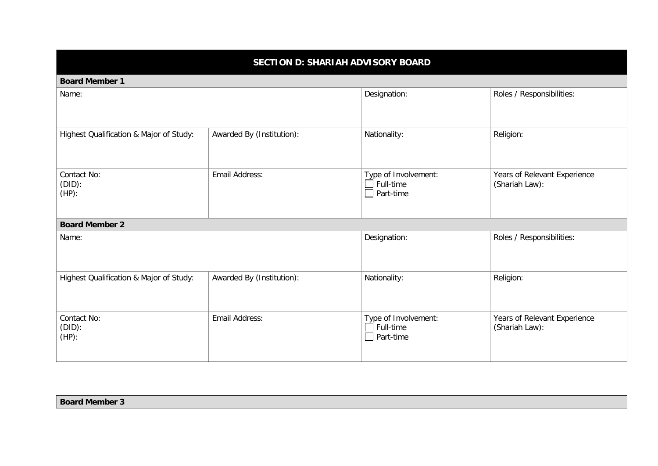## **SECTION D: SHARIAH ADVISORY BOARD**

**Board Member 1**

| <b>DUAIU IVIEIIINEI I</b>               |                           |                                                              |                                                |
|-----------------------------------------|---------------------------|--------------------------------------------------------------|------------------------------------------------|
| Name:                                   |                           | Designation:                                                 | Roles / Responsibilities:                      |
| Highest Qualification & Major of Study: | Awarded By (Institution): | Nationality:                                                 | Religion:                                      |
| Contact No:<br>$(DID)$ :<br>$(HP)$ :    | Email Address:            | Type of Involvement:<br>Full-time<br>$\Box$ Part-time        | Years of Relevant Experience<br>(Shariah Law): |
| <b>Board Member 2</b>                   |                           |                                                              |                                                |
| Name:                                   |                           | Designation:                                                 | Roles / Responsibilities:                      |
| Highest Qualification & Major of Study: | Awarded By (Institution): | Nationality:                                                 | Religion:                                      |
| Contact No:<br>(DID):<br>$(HP)$ :       | Email Address:            | Type of Involvement:<br>$\Box$ Full-time<br>$\Box$ Part-time | Years of Relevant Experience<br>(Shariah Law): |

**Board Member 3**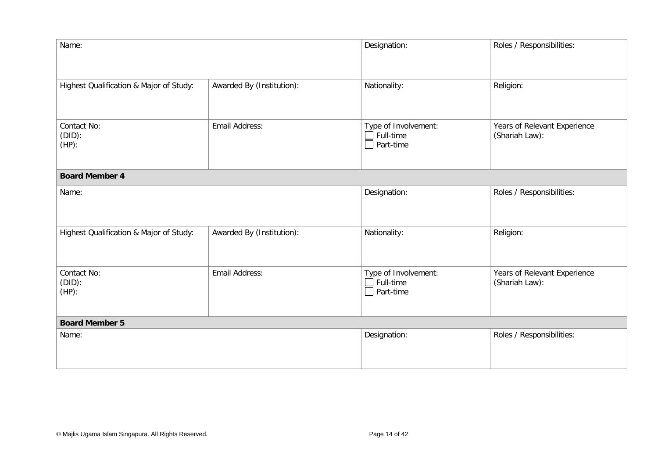| Name:                                   |                           | Designation:                                                 | Roles / Responsibilities:                      |
|-----------------------------------------|---------------------------|--------------------------------------------------------------|------------------------------------------------|
| Highest Qualification & Major of Study: | Awarded By (Institution): | Nationality:                                                 | Religion:                                      |
| Contact No:<br>$(DID)$ :<br>$(HP)$ :    | Email Address:            | Type of Involvement:<br>$\Box$ Full-time<br>$\Box$ Part-time | Years of Relevant Experience<br>(Shariah Law): |
| <b>Board Member 4</b>                   |                           |                                                              |                                                |
| Name:                                   |                           | Designation:                                                 | Roles / Responsibilities:                      |
| Highest Qualification & Major of Study: | Awarded By (Institution): | Nationality:                                                 | Religion:                                      |
| Contact No:<br>$(DID)$ :<br>$(HP)$ :    | Email Address:            | Type of Involvement:<br>$\Box$ Full-time<br>$\Box$ Part-time | Years of Relevant Experience<br>(Shariah Law): |
| <b>Board Member 5</b>                   |                           |                                                              |                                                |
| Name:                                   |                           | Designation:                                                 | Roles / Responsibilities:                      |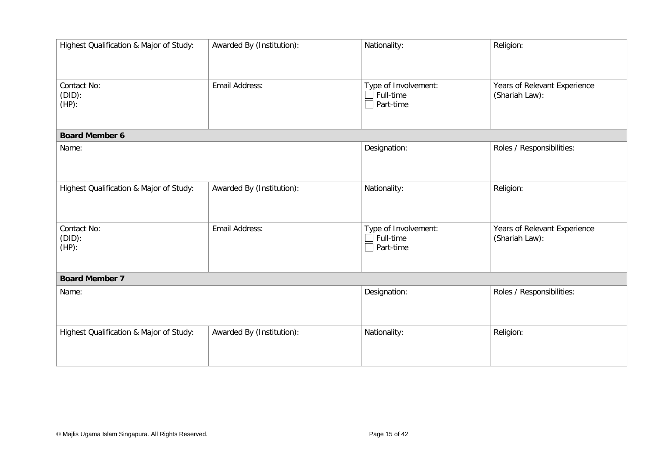| Highest Qualification & Major of Study: | Awarded By (Institution): | Nationality:                                                    | Religion:                                      |
|-----------------------------------------|---------------------------|-----------------------------------------------------------------|------------------------------------------------|
| Contact No:<br>$(DID)$ :<br>$(HP)$ :    | Email Address:            | Type of Involvement:<br>$\exists$ Full-time<br>$\Box$ Part-time | Years of Relevant Experience<br>(Shariah Law): |
| <b>Board Member 6</b>                   |                           |                                                                 |                                                |
| Name:                                   |                           | Designation:                                                    | Roles / Responsibilities:                      |
| Highest Qualification & Major of Study: | Awarded By (Institution): | Nationality:                                                    | Religion:                                      |
| Contact No:<br>(DID):<br>$(HP)$ :       | Email Address:            | Type of Involvement:<br>$\exists$ Full-time<br>$\Box$ Part-time | Years of Relevant Experience<br>(Shariah Law): |
| <b>Board Member 7</b>                   |                           |                                                                 |                                                |
| Name:                                   |                           | Designation:                                                    | Roles / Responsibilities:                      |
| Highest Qualification & Major of Study: | Awarded By (Institution): | Nationality:                                                    | Religion:                                      |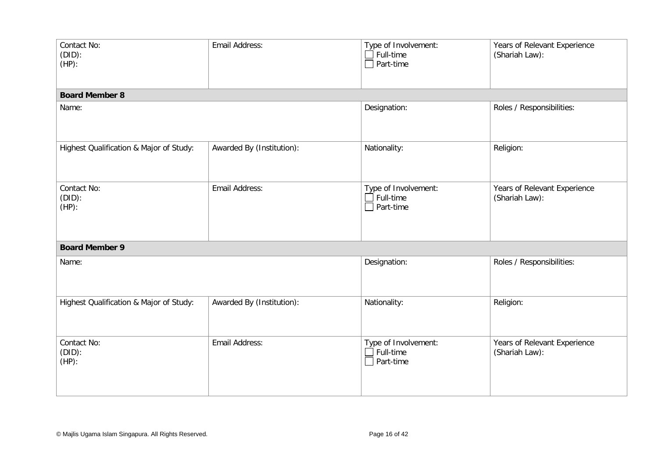| Contact No:<br>(DID):<br>$(HP)$ :       | Email Address:            | Type of Involvement:<br>$\Box$ Full-time<br>$\Box$ Part-time | Years of Relevant Experience<br>(Shariah Law): |
|-----------------------------------------|---------------------------|--------------------------------------------------------------|------------------------------------------------|
| <b>Board Member 8</b>                   |                           |                                                              |                                                |
| Name:                                   |                           | Designation:                                                 | Roles / Responsibilities:                      |
| Highest Qualification & Major of Study: | Awarded By (Institution): | Nationality:                                                 | Religion:                                      |
| Contact No:<br>$(DID)$ :<br>$(HP)$ :    | Email Address:            | Type of Involvement:<br>$\Box$ Full-time<br>$\Box$ Part-time | Years of Relevant Experience<br>(Shariah Law): |
| <b>Board Member 9</b>                   |                           |                                                              |                                                |
| Name:                                   |                           | Designation:                                                 | Roles / Responsibilities:                      |
| Highest Qualification & Major of Study: | Awarded By (Institution): | Nationality:                                                 | Religion:                                      |
| Contact No:<br>(DID):<br>$(HP)$ :       | Email Address:            | Type of Involvement:<br>$\Box$ Full-time<br>$\Box$ Part-time | Years of Relevant Experience<br>(Shariah Law): |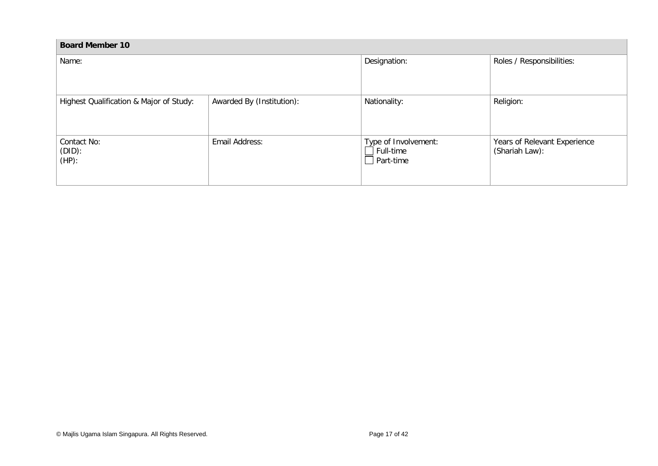| <b>Board Member 10</b>                  |                           |                                                              |                                                |
|-----------------------------------------|---------------------------|--------------------------------------------------------------|------------------------------------------------|
| Name:                                   |                           | Designation:                                                 | Roles / Responsibilities:                      |
| Highest Qualification & Major of Study: | Awarded By (Institution): | Nationality:                                                 | Religion:                                      |
| Contact No:<br>$(DID)$ :<br>$(HP)$ :    | Email Address:            | Type of Involvement:<br>$\Box$ Full-time<br>$\Box$ Part-time | Years of Relevant Experience<br>(Shariah Law): |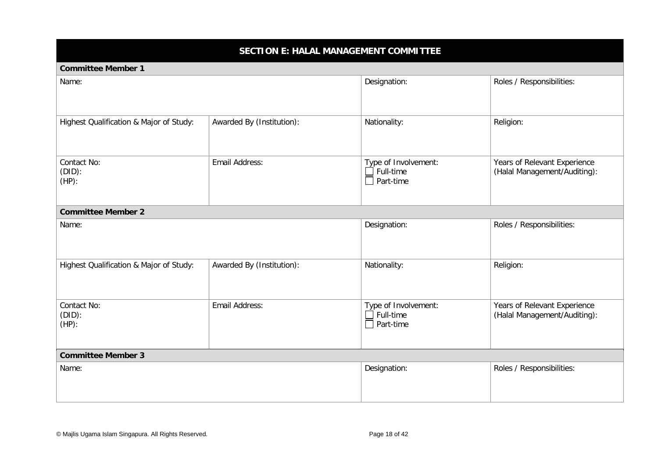### **SECTION E: HALAL MANAGEMENT COMMITTEE**

#### **Committee Member 1**

| Name:                                   |                           | Designation:                                                 | Roles / Responsibilities:                                    |
|-----------------------------------------|---------------------------|--------------------------------------------------------------|--------------------------------------------------------------|
| Highest Qualification & Major of Study: | Awarded By (Institution): | Nationality:                                                 | Religion:                                                    |
| Contact No:<br>(DID):<br>$(HP)$ :       | Email Address:            | Type of Involvement:<br>$\Box$ Full-time<br>$\Box$ Part-time | Years of Relevant Experience<br>(Halal Management/Auditing): |
| <b>Committee Member 2</b>               |                           |                                                              |                                                              |
| Name:                                   |                           | Designation:                                                 | Roles / Responsibilities:                                    |
| Highest Qualification & Major of Study: | Awarded By (Institution): | Nationality:                                                 | Religion:                                                    |
| Contact No:<br>$(DID)$ :<br>$(HP)$ :    | Email Address:            | Type of Involvement:<br>Full-time<br>$\Box$ Part-time        | Years of Relevant Experience<br>(Halal Management/Auditing): |
| <b>Committee Member 3</b>               |                           |                                                              |                                                              |
| Name:                                   |                           | Designation:                                                 | Roles / Responsibilities:                                    |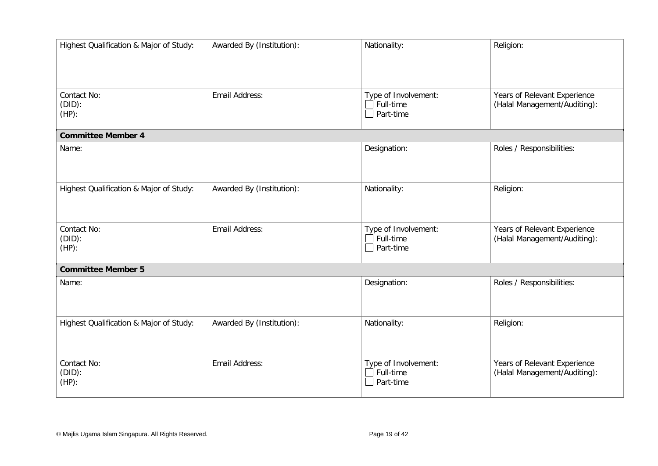| Highest Qualification & Major of Study: | Awarded By (Institution): | Nationality:                                                 | Religion:                                                    |
|-----------------------------------------|---------------------------|--------------------------------------------------------------|--------------------------------------------------------------|
| Contact No:<br>$(DID)$ :<br>$(HP)$ :    | Email Address:            | Type of Involvement:<br>Full-time<br>$\Box$ Part-time        | Years of Relevant Experience<br>(Halal Management/Auditing): |
| <b>Committee Member 4</b>               |                           |                                                              |                                                              |
| Name:                                   |                           | Designation:                                                 | Roles / Responsibilities:                                    |
| Highest Qualification & Major of Study: | Awarded By (Institution): | Nationality:                                                 | Religion:                                                    |
| Contact No:<br>$(DID)$ :<br>$(HP)$ :    | Email Address:            | Type of Involvement:<br>$\Box$ Full-time<br>$\Box$ Part-time | Years of Relevant Experience<br>(Halal Management/Auditing): |
| <b>Committee Member 5</b>               |                           |                                                              |                                                              |
| Name:                                   |                           | Designation:                                                 | Roles / Responsibilities:                                    |
| Highest Qualification & Major of Study: | Awarded By (Institution): | Nationality:                                                 | Religion:                                                    |
| Contact No:<br>$(DID)$ :<br>$(HP)$ :    | Email Address:            | Type of Involvement:<br>Full-time<br>Part-time               | Years of Relevant Experience<br>(Halal Management/Auditing): |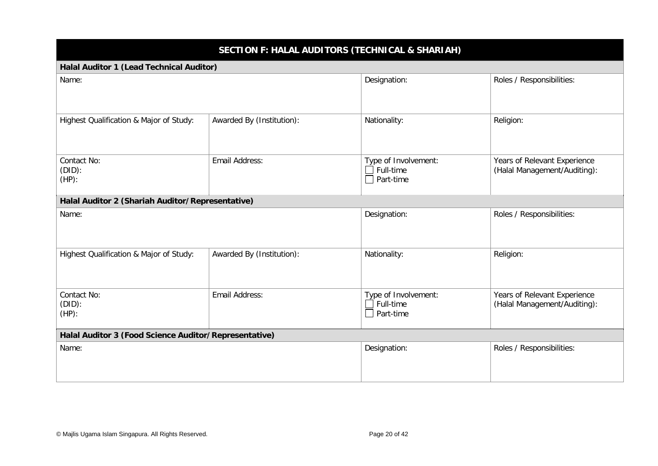## **SECTION F: HALAL AUDITORS (TECHNICAL & SHARIAH)**

#### **Halal Auditor 1 (Lead Technical Auditor)**

| Name:                                                 |                           | Designation:                                   | Roles / Responsibilities:                                    |  |
|-------------------------------------------------------|---------------------------|------------------------------------------------|--------------------------------------------------------------|--|
| Highest Qualification & Major of Study:               | Awarded By (Institution): | Nationality:                                   | Religion:                                                    |  |
| Contact No:<br>$(DID)$ :<br>$(HP)$ :                  | Email Address:            | Type of Involvement:<br>Full-time<br>Part-time | Years of Relevant Experience<br>(Halal Management/Auditing): |  |
| Halal Auditor 2 (Shariah Auditor/Representative)      |                           |                                                |                                                              |  |
| Name:                                                 |                           | Designation:                                   | Roles / Responsibilities:                                    |  |
| Highest Qualification & Major of Study:               | Awarded By (Institution): | Nationality:                                   | Religion:                                                    |  |
| Contact No:<br>$(DID)$ :<br>$(HP)$ :                  | Email Address:            | Type of Involvement:<br>Full-time<br>Part-time | Years of Relevant Experience<br>(Halal Management/Auditing): |  |
| Halal Auditor 3 (Food Science Auditor/Representative) |                           |                                                |                                                              |  |
| Name:                                                 |                           | Designation:                                   | Roles / Responsibilities:                                    |  |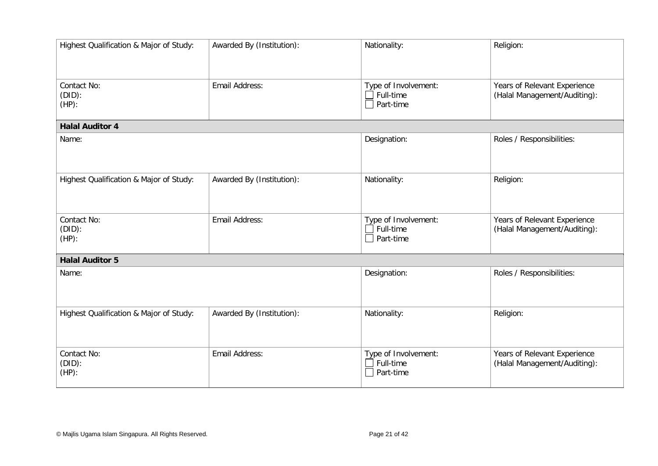| Highest Qualification & Major of Study: | Awarded By (Institution): | Nationality:                                                 | Religion:                                                    |
|-----------------------------------------|---------------------------|--------------------------------------------------------------|--------------------------------------------------------------|
| Contact No:<br>$(DID)$ :<br>$(HP)$ :    | Email Address:            | Type of Involvement:<br>Full-time<br>$\Box$ Part-time        | Years of Relevant Experience<br>(Halal Management/Auditing): |
| <b>Halal Auditor 4</b>                  |                           |                                                              |                                                              |
| Name:                                   |                           | Designation:                                                 | Roles / Responsibilities:                                    |
| Highest Qualification & Major of Study: | Awarded By (Institution): | Nationality:                                                 | Religion:                                                    |
| Contact No:<br>$(DID)$ :<br>$(HP)$ :    | Email Address:            | Type of Involvement:<br>$\Box$ Full-time<br>$\Box$ Part-time | Years of Relevant Experience<br>(Halal Management/Auditing): |
| <b>Halal Auditor 5</b>                  |                           |                                                              |                                                              |
| Name:                                   |                           | Designation:                                                 | Roles / Responsibilities:                                    |
| Highest Qualification & Major of Study: | Awarded By (Institution): | Nationality:                                                 | Religion:                                                    |
| Contact No:<br>(DID):<br>$(HP)$ :       | Email Address:            | Type of Involvement:<br>$\Box$ Full-time<br>$\Box$ Part-time | Years of Relevant Experience<br>(Halal Management/Auditing): |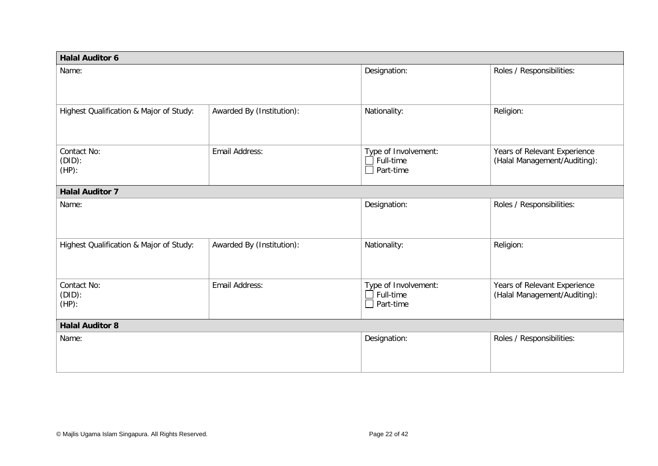| <b>Halal Auditor 6</b>                  |                           |                                                |                                                              |  |  |
|-----------------------------------------|---------------------------|------------------------------------------------|--------------------------------------------------------------|--|--|
| Name:                                   |                           | Designation:                                   | Roles / Responsibilities:                                    |  |  |
| Highest Qualification & Major of Study: | Awarded By (Institution): | Nationality:                                   | Religion:                                                    |  |  |
| Contact No:<br>(DID):<br>$(HP)$ :       | Email Address:            | Type of Involvement:<br>Full-time<br>Part-time | Years of Relevant Experience<br>(Halal Management/Auditing): |  |  |
| <b>Halal Auditor 7</b>                  |                           |                                                |                                                              |  |  |
| Name:                                   |                           | Designation:                                   | Roles / Responsibilities:                                    |  |  |
| Highest Qualification & Major of Study: | Awarded By (Institution): | Nationality:                                   | Religion:                                                    |  |  |
| Contact No:<br>(DID):<br>$(HP)$ :       | Email Address:            | Type of Involvement:<br>Full-time<br>Part-time | Years of Relevant Experience<br>(Halal Management/Auditing): |  |  |
| <b>Halal Auditor 8</b>                  |                           |                                                |                                                              |  |  |
| Name:                                   |                           | Designation:                                   | Roles / Responsibilities:                                    |  |  |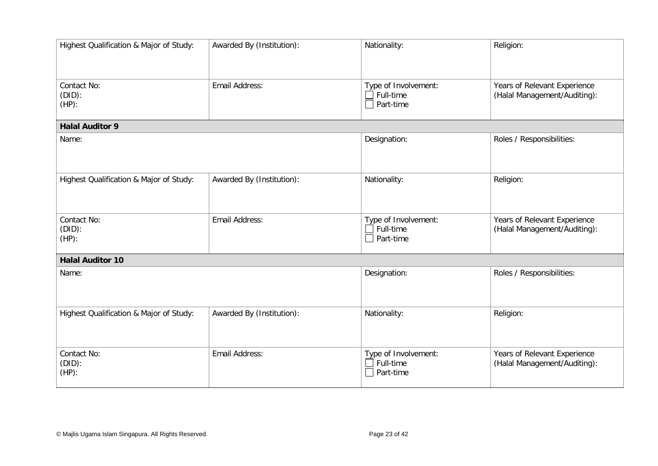| Highest Qualification & Major of Study: | Awarded By (Institution): | Nationality:                                                    | Religion:                                                    |
|-----------------------------------------|---------------------------|-----------------------------------------------------------------|--------------------------------------------------------------|
| Contact No:<br>$(DID)$ :<br>$(HP)$ :    | Email Address:            | Type of Involvement:<br>$\exists$ Full-time<br>$\Box$ Part-time | Years of Relevant Experience<br>(Halal Management/Auditing): |
| <b>Halal Auditor 9</b>                  |                           |                                                                 |                                                              |
| Name:                                   |                           | Designation:                                                    | Roles / Responsibilities:                                    |
| Highest Qualification & Major of Study: | Awarded By (Institution): | Nationality:                                                    | Religion:                                                    |
| Contact No:<br>$(DID)$ :<br>$(HP)$ :    | Email Address:            | Type of Involvement:<br>$\Box$ Full-time<br>$\Box$ Part-time    | Years of Relevant Experience<br>(Halal Management/Auditing): |
| <b>Halal Auditor 10</b>                 |                           |                                                                 |                                                              |
| Name:                                   |                           | Designation:                                                    | Roles / Responsibilities:                                    |
| Highest Qualification & Major of Study: | Awarded By (Institution): | Nationality:                                                    | Religion:                                                    |
| Contact No:<br>(DID):<br>$(HP)$ :       | Email Address:            | Type of Involvement:<br>$\exists$ Full-time<br>$\Box$ Part-time | Years of Relevant Experience<br>(Halal Management/Auditing): |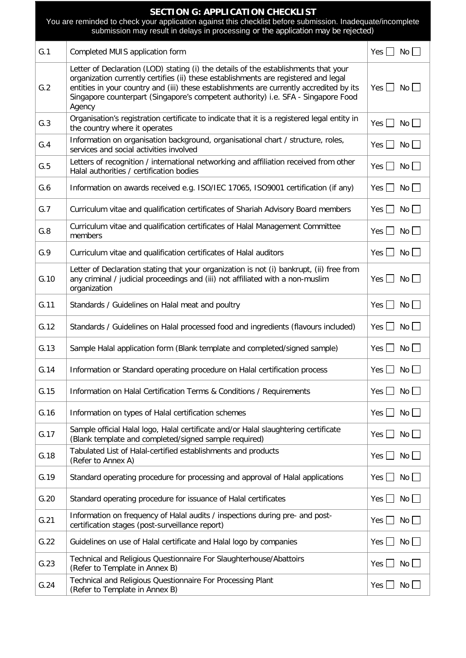| <b>SECTION G: APPLICATION CHECKLIST</b><br>You are reminded to check your application against this checklist before submission. Inadequate/incomplete<br>submission may result in delays in processing or the application may be rejected) |                                                                                                                                                                                                                                                                                                                                                                      |                                 |  |
|--------------------------------------------------------------------------------------------------------------------------------------------------------------------------------------------------------------------------------------------|----------------------------------------------------------------------------------------------------------------------------------------------------------------------------------------------------------------------------------------------------------------------------------------------------------------------------------------------------------------------|---------------------------------|--|
| G.1                                                                                                                                                                                                                                        | Completed MUIS application form                                                                                                                                                                                                                                                                                                                                      | Yes $ $<br>No I                 |  |
| G.2                                                                                                                                                                                                                                        | Letter of Declaration (LOD) stating (i) the details of the establishments that your<br>organization currently certifies (ii) these establishments are registered and legal<br>entities in your country and (iii) these establishments are currently accredited by its<br>Singapore counterpart (Singapore's competent authority) i.e. SFA - Singapore Food<br>Agency | $Yes \Box No \Box$              |  |
| G.3                                                                                                                                                                                                                                        | Organisation's registration certificate to indicate that it is a registered legal entity in<br>the country where it operates                                                                                                                                                                                                                                         | Yes $\Box$<br>No                |  |
| G.4                                                                                                                                                                                                                                        | Information on organisation background, organisational chart / structure, roles,<br>services and social activities involved                                                                                                                                                                                                                                          | Yes $\Box$<br>No <sub>1</sub>   |  |
| G.5                                                                                                                                                                                                                                        | Letters of recognition / international networking and affiliation received from other<br>Halal authorities / certification bodies                                                                                                                                                                                                                                    | Yes $\Box$<br>No                |  |
| G.6                                                                                                                                                                                                                                        | Information on awards received e.g. ISO/IEC 17065, ISO9001 certification (if any)                                                                                                                                                                                                                                                                                    | $Yes \mid \mid No \mid$         |  |
| G.7                                                                                                                                                                                                                                        | Curriculum vitae and qualification certificates of Shariah Advisory Board members                                                                                                                                                                                                                                                                                    | Yes $\Box$<br>No                |  |
| G.8                                                                                                                                                                                                                                        | Curriculum vitae and qualification certificates of Halal Management Committee<br>members                                                                                                                                                                                                                                                                             | Yes $\Box$<br>No                |  |
| G.9                                                                                                                                                                                                                                        | Curriculum vitae and qualification certificates of Halal auditors                                                                                                                                                                                                                                                                                                    | Yes $  \;  $<br>No <sub>1</sub> |  |
| G.10                                                                                                                                                                                                                                       | Letter of Declaration stating that your organization is not (i) bankrupt, (ii) free from<br>any criminal / judicial proceedings and (iii) not affiliated with a non-muslim<br>organization                                                                                                                                                                           | <b>No</b><br>Yes $  \;  $       |  |
| G.11                                                                                                                                                                                                                                       | Standards / Guidelines on Halal meat and poultry                                                                                                                                                                                                                                                                                                                     | Yes $\Box$<br>No                |  |
| G.12                                                                                                                                                                                                                                       | Standards / Guidelines on Halal processed food and ingredients (flavours included)                                                                                                                                                                                                                                                                                   | Yes $\Box$<br>No                |  |
| G.13                                                                                                                                                                                                                                       | Sample Halal application form (Blank template and completed/signed sample)                                                                                                                                                                                                                                                                                           | Yes $\Box$<br>No                |  |
| G.14                                                                                                                                                                                                                                       | Information or Standard operating procedure on Halal certification process                                                                                                                                                                                                                                                                                           | Yes $\Box$<br>No                |  |
| G.15                                                                                                                                                                                                                                       | Information on Halal Certification Terms & Conditions / Requirements                                                                                                                                                                                                                                                                                                 | Yes $\Box$<br>No                |  |
| G.16                                                                                                                                                                                                                                       | Information on types of Halal certification schemes                                                                                                                                                                                                                                                                                                                  | Yes $  \;  $<br>No              |  |
| G.17                                                                                                                                                                                                                                       | Sample official Halal logo, Halal certificate and/or Halal slaughtering certificate<br>(Blank template and completed/signed sample required)                                                                                                                                                                                                                         | Yes $\Box$<br>No                |  |
| G.18                                                                                                                                                                                                                                       | Tabulated List of Halal-certified establishments and products<br>(Refer to Annex A)                                                                                                                                                                                                                                                                                  | Yes $\Box$<br>No                |  |
| G.19                                                                                                                                                                                                                                       | Standard operating procedure for processing and approval of Halal applications                                                                                                                                                                                                                                                                                       | Yes $\Box$<br>No                |  |
| G.20                                                                                                                                                                                                                                       | Standard operating procedure for issuance of Halal certificates                                                                                                                                                                                                                                                                                                      | $Yes$ $\Box$<br>No              |  |
| G.21                                                                                                                                                                                                                                       | Information on frequency of Halal audits / inspections during pre- and post-<br>certification stages (post-surveillance report)                                                                                                                                                                                                                                      | Yes $\Box$<br>No                |  |
| G.22                                                                                                                                                                                                                                       | Guidelines on use of Halal certificate and Halal logo by companies                                                                                                                                                                                                                                                                                                   | Yes $\Box$<br>No                |  |
| G.23                                                                                                                                                                                                                                       | Technical and Religious Questionnaire For Slaughterhouse/Abattoirs<br>(Refer to Template in Annex B)                                                                                                                                                                                                                                                                 | $Yes$    <br>No                 |  |
| G.24                                                                                                                                                                                                                                       | Technical and Religious Questionnaire For Processing Plant<br>(Refer to Template in Annex B)                                                                                                                                                                                                                                                                         | Yes $\Box$<br>No                |  |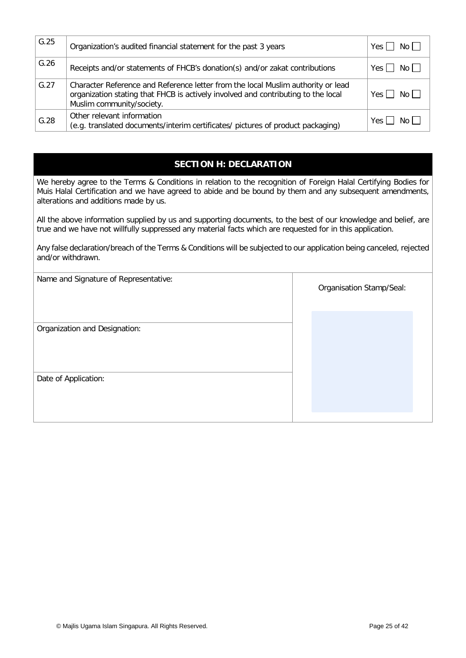| G.25 | Organization's audited financial statement for the past 3 years                                                                                                                                    | Yes $\Box$ No $\Box$ |
|------|----------------------------------------------------------------------------------------------------------------------------------------------------------------------------------------------------|----------------------|
| G.26 | Receipts and/or statements of FHCB's donation(s) and/or zakat contributions                                                                                                                        | $Yes \Box No \Box$   |
| G.27 | Character Reference and Reference letter from the local Muslim authority or lead<br>organization stating that FHCB is actively involved and contributing to the local<br>Muslim community/society. | $Yes$ $\Box$<br>No L |
| G.28 | Other relevant information<br>(e.g. translated documents/interim certificates/ pictures of product packaging)                                                                                      | Yes l<br>No l        |

## **SECTION H: DECLARATION**

We hereby agree to the Terms & Conditions in relation to the recognition of Foreign Halal Certifying Bodies for Muis Halal Certification and we have agreed to abide and be bound by them and any subsequent amendments, alterations and additions made by us.

All the above information supplied by us and supporting documents, to the best of our knowledge and belief, are true and we have not willfully suppressed any material facts which are requested for in this application.

Any false declaration/breach of the Terms & Conditions will be subjected to our application being canceled, rejected and/or withdrawn.

| Organisation Stamp/Seal: |
|--------------------------|
|                          |
|                          |
|                          |
|                          |
|                          |
|                          |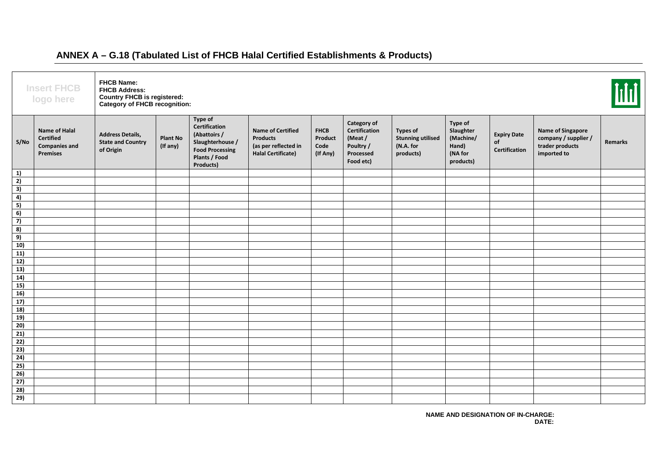|                                                                                          | <b>Insert FHCB</b><br>logo here                                       | <b>FHCB Name:</b><br><b>FHCB Address:</b><br><b>Country FHCB is registered:</b><br>Category of FHCB recognition: |                             |                                                                                                                      |                                                                                                  |                                            |                                                                                      |                                                                       |                                                                    |                                           |                                                                                    | $\overline{\text{Hil}}$ |
|------------------------------------------------------------------------------------------|-----------------------------------------------------------------------|------------------------------------------------------------------------------------------------------------------|-----------------------------|----------------------------------------------------------------------------------------------------------------------|--------------------------------------------------------------------------------------------------|--------------------------------------------|--------------------------------------------------------------------------------------|-----------------------------------------------------------------------|--------------------------------------------------------------------|-------------------------------------------|------------------------------------------------------------------------------------|-------------------------|
| S/No                                                                                     | Name of Halal<br><b>Certified</b><br><b>Companies and</b><br>Premises | <b>Address Details,</b><br><b>State and Country</b><br>of Origin                                                 | <b>Plant No</b><br>(If any) | Type of<br>Certification<br>(Abattoirs /<br>Slaughterhouse /<br><b>Food Processing</b><br>Plants / Food<br>Products) | <b>Name of Certified</b><br><b>Products</b><br>(as per reflected in<br><b>Halal Certificate)</b> | <b>FHCB</b><br>Product<br>Code<br>(If Any) | Category of<br><b>Certification</b><br>(Meat/<br>Poultry /<br>Processed<br>Food etc) | <b>Types of</b><br><b>Stunning utilised</b><br>(N.A. for<br>products) | Type of<br>Slaughter<br>(Machine/<br>Hand)<br>(NA for<br>products) | <b>Expiry Date</b><br>of<br>Certification | <b>Name of Singapore</b><br>company / supplier /<br>trader products<br>imported to | Remarks                 |
| $\begin{array}{c} 1) \\ 2) \\ 3) \\ 4) \\ 5) \\ 6) \\ 7) \\ 8) \\ 9) \\ 10) \end{array}$ |                                                                       |                                                                                                                  |                             |                                                                                                                      |                                                                                                  |                                            |                                                                                      |                                                                       |                                                                    |                                           |                                                                                    |                         |
|                                                                                          |                                                                       |                                                                                                                  |                             |                                                                                                                      |                                                                                                  |                                            |                                                                                      |                                                                       |                                                                    |                                           |                                                                                    |                         |
|                                                                                          |                                                                       |                                                                                                                  |                             |                                                                                                                      |                                                                                                  |                                            |                                                                                      |                                                                       |                                                                    |                                           |                                                                                    |                         |
|                                                                                          |                                                                       |                                                                                                                  |                             |                                                                                                                      |                                                                                                  |                                            |                                                                                      |                                                                       |                                                                    |                                           |                                                                                    |                         |
|                                                                                          |                                                                       |                                                                                                                  |                             |                                                                                                                      |                                                                                                  |                                            |                                                                                      |                                                                       |                                                                    |                                           |                                                                                    |                         |
|                                                                                          |                                                                       |                                                                                                                  |                             |                                                                                                                      |                                                                                                  |                                            |                                                                                      |                                                                       |                                                                    |                                           |                                                                                    |                         |
|                                                                                          |                                                                       |                                                                                                                  |                             |                                                                                                                      |                                                                                                  |                                            |                                                                                      |                                                                       |                                                                    |                                           |                                                                                    |                         |
|                                                                                          |                                                                       |                                                                                                                  |                             |                                                                                                                      |                                                                                                  |                                            |                                                                                      |                                                                       |                                                                    |                                           |                                                                                    |                         |
|                                                                                          |                                                                       |                                                                                                                  |                             |                                                                                                                      |                                                                                                  |                                            |                                                                                      |                                                                       |                                                                    |                                           |                                                                                    |                         |
|                                                                                          |                                                                       |                                                                                                                  |                             |                                                                                                                      |                                                                                                  |                                            |                                                                                      |                                                                       |                                                                    |                                           |                                                                                    |                         |
| 11)                                                                                      |                                                                       |                                                                                                                  |                             |                                                                                                                      |                                                                                                  |                                            |                                                                                      |                                                                       |                                                                    |                                           |                                                                                    |                         |
| $\overline{12)}$<br>$\overline{13}$                                                      |                                                                       |                                                                                                                  |                             |                                                                                                                      |                                                                                                  |                                            |                                                                                      |                                                                       |                                                                    |                                           |                                                                                    |                         |
| 14)                                                                                      |                                                                       |                                                                                                                  |                             |                                                                                                                      |                                                                                                  |                                            |                                                                                      |                                                                       |                                                                    |                                           |                                                                                    |                         |
|                                                                                          |                                                                       |                                                                                                                  |                             |                                                                                                                      |                                                                                                  |                                            |                                                                                      |                                                                       |                                                                    |                                           |                                                                                    |                         |
| $\frac{15}{16}$                                                                          |                                                                       |                                                                                                                  |                             |                                                                                                                      |                                                                                                  |                                            |                                                                                      |                                                                       |                                                                    |                                           |                                                                                    |                         |
| 17)                                                                                      |                                                                       |                                                                                                                  |                             |                                                                                                                      |                                                                                                  |                                            |                                                                                      |                                                                       |                                                                    |                                           |                                                                                    |                         |
| 18)                                                                                      |                                                                       |                                                                                                                  |                             |                                                                                                                      |                                                                                                  |                                            |                                                                                      |                                                                       |                                                                    |                                           |                                                                                    |                         |
| 19)                                                                                      |                                                                       |                                                                                                                  |                             |                                                                                                                      |                                                                                                  |                                            |                                                                                      |                                                                       |                                                                    |                                           |                                                                                    |                         |
| 20)                                                                                      |                                                                       |                                                                                                                  |                             |                                                                                                                      |                                                                                                  |                                            |                                                                                      |                                                                       |                                                                    |                                           |                                                                                    |                         |
| 21)                                                                                      |                                                                       |                                                                                                                  |                             |                                                                                                                      |                                                                                                  |                                            |                                                                                      |                                                                       |                                                                    |                                           |                                                                                    |                         |
| 22)                                                                                      |                                                                       |                                                                                                                  |                             |                                                                                                                      |                                                                                                  |                                            |                                                                                      |                                                                       |                                                                    |                                           |                                                                                    |                         |
| 23)                                                                                      |                                                                       |                                                                                                                  |                             |                                                                                                                      |                                                                                                  |                                            |                                                                                      |                                                                       |                                                                    |                                           |                                                                                    |                         |
| 24)                                                                                      |                                                                       |                                                                                                                  |                             |                                                                                                                      |                                                                                                  |                                            |                                                                                      |                                                                       |                                                                    |                                           |                                                                                    |                         |
| 25)                                                                                      |                                                                       |                                                                                                                  |                             |                                                                                                                      |                                                                                                  |                                            |                                                                                      |                                                                       |                                                                    |                                           |                                                                                    |                         |
|                                                                                          |                                                                       |                                                                                                                  |                             |                                                                                                                      |                                                                                                  |                                            |                                                                                      |                                                                       |                                                                    |                                           |                                                                                    |                         |
| $\frac{26}{27}$                                                                          |                                                                       |                                                                                                                  |                             |                                                                                                                      |                                                                                                  |                                            |                                                                                      |                                                                       |                                                                    |                                           |                                                                                    |                         |
| $\overline{28}$                                                                          |                                                                       |                                                                                                                  |                             |                                                                                                                      |                                                                                                  |                                            |                                                                                      |                                                                       |                                                                    |                                           |                                                                                    |                         |
| 29)                                                                                      |                                                                       |                                                                                                                  |                             |                                                                                                                      |                                                                                                  |                                            |                                                                                      |                                                                       |                                                                    |                                           |                                                                                    |                         |

## **ANNEX A – G.18 (Tabulated List of FHCB Halal Certified Establishments & Products)**

**NAME AND DESIGNATION OF IN-CHARGE: DATE:**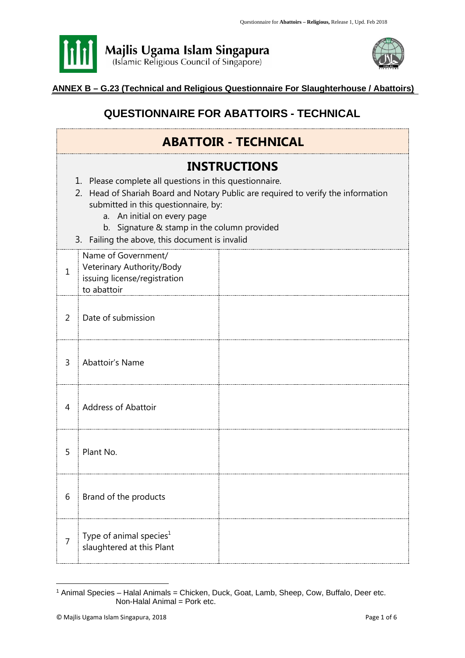



## **ANNEX B – G.23 (Technical and Religious Questionnaire For Slaughterhouse / Abattoirs)**

## **QUESTIONNAIRE FOR ABATTOIRS - TECHNICAL**

|                | <b>ABATTOIR - TECHNICAL</b>                                                                                                                                                                                                                                                                                                                 |  |  |  |  |  |
|----------------|---------------------------------------------------------------------------------------------------------------------------------------------------------------------------------------------------------------------------------------------------------------------------------------------------------------------------------------------|--|--|--|--|--|
|                | <b>INSTRUCTIONS</b><br>1. Please complete all questions in this questionnaire.<br>2. Head of Shariah Board and Notary Public are required to verify the information<br>submitted in this questionnaire, by:<br>a. An initial on every page<br>b. Signature & stamp in the column provided<br>3. Failing the above, this document is invalid |  |  |  |  |  |
| $\mathbf{1}$   | Name of Government/<br>Veterinary Authority/Body<br>issuing license/registration<br>to abattoir                                                                                                                                                                                                                                             |  |  |  |  |  |
| $\overline{2}$ | Date of submission                                                                                                                                                                                                                                                                                                                          |  |  |  |  |  |
| $\overline{3}$ | Abattoir's Name                                                                                                                                                                                                                                                                                                                             |  |  |  |  |  |
| 4              | <b>Address of Abattoir</b>                                                                                                                                                                                                                                                                                                                  |  |  |  |  |  |
| 5              | Plant No.                                                                                                                                                                                                                                                                                                                                   |  |  |  |  |  |
| 6              | Brand of the products                                                                                                                                                                                                                                                                                                                       |  |  |  |  |  |
| 7              | Type of animal species <sup>1</sup><br>slaughtered at this Plant                                                                                                                                                                                                                                                                            |  |  |  |  |  |

<sup>&</sup>lt;sup>1</sup> Animal Species – Halal Animals = Chicken, Duck, Goat, Lamb, Sheep, Cow, Buffalo, Deer etc. Non-Halal Animal = Pork etc.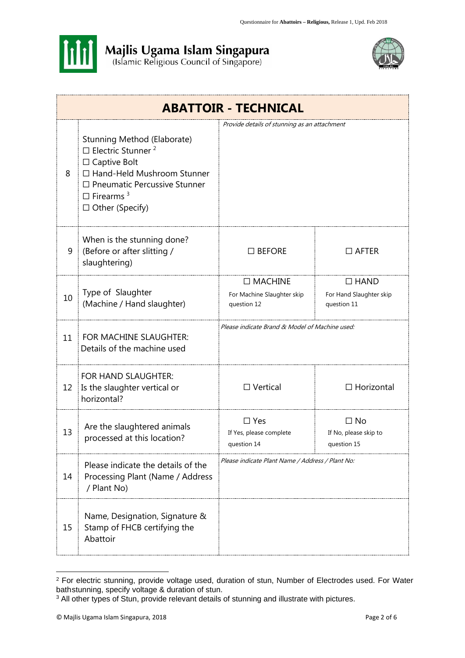



|    | <b>ABATTOIR - TECHNICAL</b>                                                                                                                                                                                                 |                                                             |                                                       |  |  |
|----|-----------------------------------------------------------------------------------------------------------------------------------------------------------------------------------------------------------------------------|-------------------------------------------------------------|-------------------------------------------------------|--|--|
| 8  | Stunning Method (Elaborate)<br>$\Box$ Electric Stunner <sup>2</sup><br>$\Box$ Captive Bolt<br>□ Hand-Held Mushroom Stunner<br>$\Box$ Pneumatic Percussive Stunner<br>$\Box$ Firearms <sup>3</sup><br>$\Box$ Other (Specify) | Provide details of stunning as an attachment                |                                                       |  |  |
| 9  | When is the stunning done?<br>(Before or after slitting /<br>slaughtering)                                                                                                                                                  | $\square$ BEFORE                                            | $\Box$ AFTER                                          |  |  |
| 10 | Type of Slaughter<br>(Machine / Hand slaughter)                                                                                                                                                                             | $\Box$ MACHINE<br>For Machine Slaughter skip<br>question 12 | $\Box$ HAND<br>For Hand Slaughter skip<br>question 11 |  |  |
| 11 | FOR MACHINE SLAUGHTER:<br>Details of the machine used                                                                                                                                                                       | Please indicate Brand & Model of Machine used:              |                                                       |  |  |
| 12 | FOR HAND SLAUGHTER:<br>Is the slaughter vertical or<br>horizontal?                                                                                                                                                          | $\Box$ Vertical                                             | $\Box$ Horizontal                                     |  |  |
| 13 | Are the slaughtered animals<br>processed at this location?                                                                                                                                                                  | $\square$ Yes<br>If Yes, please complete<br>question 14     | $\Box$ No<br>If No, please skip to<br>question 15     |  |  |
| 14 | Please indicate the details of the<br>Processing Plant (Name / Address<br>/ Plant No)                                                                                                                                       | Please indicate Plant Name / Address / Plant No:            |                                                       |  |  |
| 15 | Name, Designation, Signature &<br>Stamp of FHCB certifying the<br>Abattoir                                                                                                                                                  |                                                             |                                                       |  |  |

<sup>&</sup>lt;sup>2</sup> For electric stunning, provide voltage used, duration of stun, Number of Electrodes used. For Water bathstunning, specify voltage & duration of stun.

<sup>3</sup> All other types of Stun, provide relevant details of stunning and illustrate with pictures.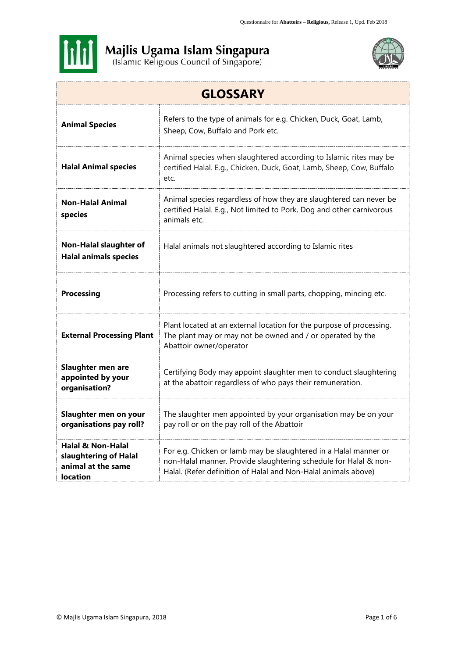



| <b>GLOSSARY</b>                                                                     |                                                                                                                                                                                                        |  |  |  |
|-------------------------------------------------------------------------------------|--------------------------------------------------------------------------------------------------------------------------------------------------------------------------------------------------------|--|--|--|
| <b>Animal Species</b>                                                               | Refers to the type of animals for e.g. Chicken, Duck, Goat, Lamb,<br>Sheep, Cow, Buffalo and Pork etc.                                                                                                 |  |  |  |
| <b>Halal Animal species</b>                                                         | Animal species when slaughtered according to Islamic rites may be<br>certified Halal. E.g., Chicken, Duck, Goat, Lamb, Sheep, Cow, Buffalo<br>etc.                                                     |  |  |  |
| <b>Non-Halal Animal</b><br>species                                                  | Animal species regardless of how they are slaughtered can never be<br>certified Halal. E.g., Not limited to Pork, Dog and other carnivorous<br>animals etc.                                            |  |  |  |
| <b>Non-Halal slaughter of</b><br><b>Halal animals species</b>                       | Halal animals not slaughtered according to Islamic rites                                                                                                                                               |  |  |  |
| <b>Processing</b>                                                                   | Processing refers to cutting in small parts, chopping, mincing etc.                                                                                                                                    |  |  |  |
| <b>External Processing Plant</b>                                                    | Plant located at an external location for the purpose of processing.<br>The plant may or may not be owned and / or operated by the<br>Abattoir owner/operator                                          |  |  |  |
| Slaughter men are<br>appointed by your<br>organisation?                             | Certifying Body may appoint slaughter men to conduct slaughtering<br>at the abattoir regardless of who pays their remuneration.                                                                        |  |  |  |
| Slaughter men on your<br>organisations pay roll?                                    | The slaughter men appointed by your organisation may be on your<br>pay roll or on the pay roll of the Abattoir                                                                                         |  |  |  |
| Halal & Non-Halal<br>slaughtering of Halal<br>animal at the same<br><b>location</b> | For e.g. Chicken or lamb may be slaughtered in a Halal manner or<br>non-Halal manner. Provide slaughtering schedule for Halal & non-<br>Halal. (Refer definition of Halal and Non-Halal animals above) |  |  |  |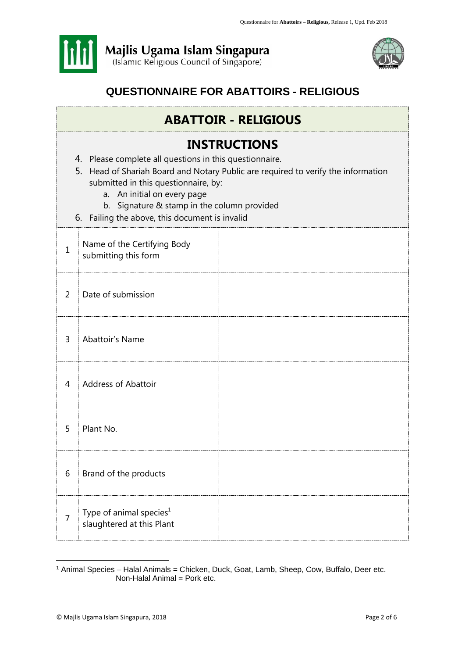



## **QUESTIONNAIRE FOR ABATTOIRS - RELIGIOUS**

## **ABATTOIR - RELIGIOUS**

## **INSTRUCTIONS**

- 4. Please complete all questions in this questionnaire.
- 5. Head of Shariah Board and Notary Public are required to verify the information submitted in this questionnaire, by:
	- a. An initial on every page
	- b. Signature & stamp in the column provided
- 6. Failing the above, this document is invalid

| $\mathbf{1}$   | Name of the Certifying Body<br>submitting this form              |  |
|----------------|------------------------------------------------------------------|--|
| 2              | Date of submission                                               |  |
| $\overline{3}$ | Abattoir's Name                                                  |  |
| $\overline{4}$ | Address of Abattoir                                              |  |
| 5              | Plant No.                                                        |  |
| 6              | Brand of the products                                            |  |
| $\overline{7}$ | Type of animal species <sup>1</sup><br>slaughtered at this Plant |  |

<sup>&</sup>lt;sup>1</sup> Animal Species – Halal Animals = Chicken, Duck, Goat, Lamb, Sheep, Cow, Buffalo, Deer etc. Non-Halal Animal = Pork etc.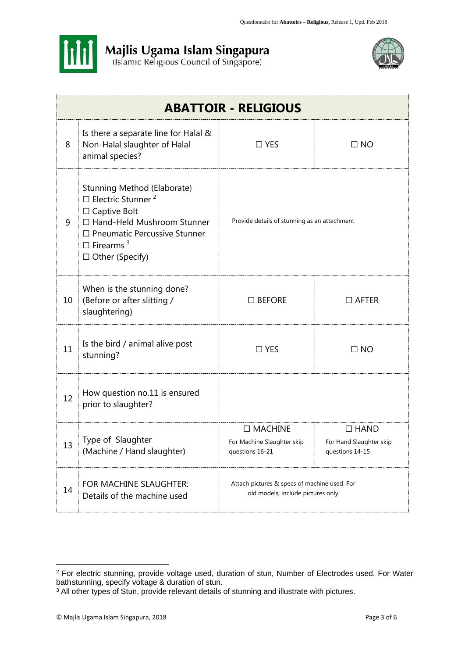



| <b>ABATTOIR - RELIGIOUS</b> |                                                                                                                                                                                                                             |                                                                                   |                                                           |  |  |
|-----------------------------|-----------------------------------------------------------------------------------------------------------------------------------------------------------------------------------------------------------------------------|-----------------------------------------------------------------------------------|-----------------------------------------------------------|--|--|
| 8                           | Is there a separate line for Halal &<br>Non-Halal slaughter of Halal<br>animal species?                                                                                                                                     | $\Box$ YES<br>$\Box$ NO                                                           |                                                           |  |  |
| 9                           | Stunning Method (Elaborate)<br>$\Box$ Electric Stunner <sup>2</sup><br>$\Box$ Captive Bolt<br>□ Hand-Held Mushroom Stunner<br>$\Box$ Pneumatic Percussive Stunner<br>$\Box$ Firearms <sup>3</sup><br>$\Box$ Other (Specify) | Provide details of stunning as an attachment                                      |                                                           |  |  |
| 10                          | When is the stunning done?<br>(Before or after slitting /<br>slaughtering)                                                                                                                                                  | $\square$ BEFORE                                                                  | $\Box$ AFTER                                              |  |  |
| 11                          | Is the bird / animal alive post<br>stunning?                                                                                                                                                                                | $\square$ YES                                                                     | $\Box$ NO                                                 |  |  |
| 12                          | How question no.11 is ensured<br>prior to slaughter?                                                                                                                                                                        |                                                                                   |                                                           |  |  |
| 13                          | Type of Slaughter<br>(Machine / Hand slaughter)                                                                                                                                                                             | $\square$ MACHINE<br>For Machine Slaughter skip<br>questions 16-21                | $\Box$ HAND<br>For Hand Slaughter skip<br>questions 14-15 |  |  |
| 14                          | FOR MACHINE SLAUGHTER:<br>Details of the machine used                                                                                                                                                                       | Attach pictures & specs of machine used. For<br>old models, include pictures only |                                                           |  |  |

<sup>&</sup>lt;sup>2</sup> For electric stunning, provide voltage used, duration of stun, Number of Electrodes used. For Water bathstunning, specify voltage & duration of stun.

<sup>&</sup>lt;sup>3</sup> All other types of Stun, provide relevant details of stunning and illustrate with pictures.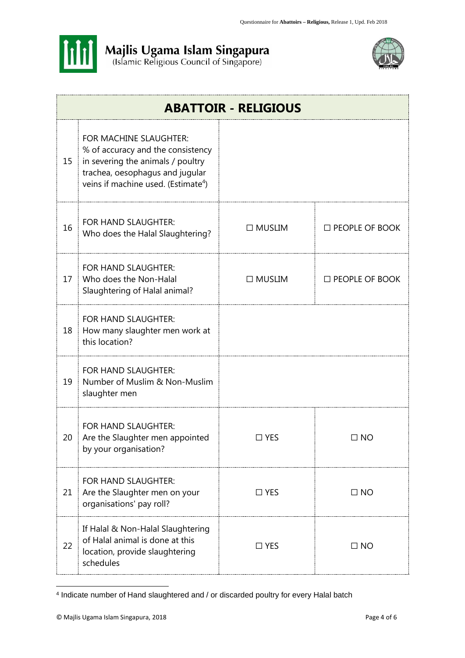



|    | <b>ABATTOIR - RELIGIOUS</b>                                                                                                                                                            |               |                       |  |  |  |
|----|----------------------------------------------------------------------------------------------------------------------------------------------------------------------------------------|---------------|-----------------------|--|--|--|
| 15 | FOR MACHINE SLAUGHTER:<br>% of accuracy and the consistency<br>in severing the animals / poultry<br>trachea, oesophagus and jugular<br>veins if machine used. (Estimate <sup>4</sup> ) |               |                       |  |  |  |
| 16 | FOR HAND SLAUGHTER:<br>Who does the Halal Slaughtering?                                                                                                                                | $\Box$ MUSLIM | $\Box$ PEOPLE OF BOOK |  |  |  |
| 17 | FOR HAND SLAUGHTER:<br>Who does the Non-Halal<br>Slaughtering of Halal animal?                                                                                                         | $\Box$ MUSLIM | $\Box$ PEOPLE OF BOOK |  |  |  |
| 18 | FOR HAND SLAUGHTER:<br>How many slaughter men work at<br>this location?                                                                                                                |               |                       |  |  |  |
| 19 | FOR HAND SLAUGHTER:<br>Number of Muslim & Non-Muslim<br>slaughter men                                                                                                                  |               |                       |  |  |  |
| 20 | FOR HAND SLAUGHTER:<br>Are the Slaughter men appointed<br>by your organisation?                                                                                                        | $\Box$ YES    | $\square$ NO          |  |  |  |
| 21 | FOR HAND SLAUGHTER:<br>Are the Slaughter men on your<br>organisations' pay roll?                                                                                                       | $\Box$ YES    | $\Box$ NO             |  |  |  |
| 22 | If Halal & Non-Halal Slaughtering<br>of Halal animal is done at this<br>location, provide slaughtering<br>schedules                                                                    | $\Box$ YES    | $\Box$ NO             |  |  |  |

<sup>4</sup> Indicate number of Hand slaughtered and / or discarded poultry for every Halal batch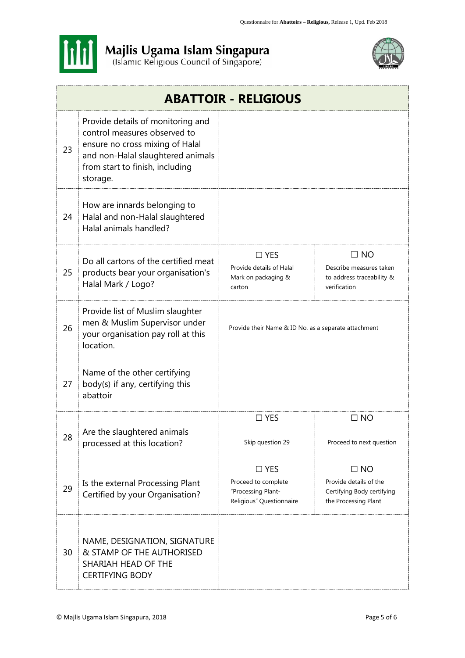



|    | <b>ABATTOIR - RELIGIOUS</b>                                                                                                                                                              |                                                                                        |                                                                                           |  |
|----|------------------------------------------------------------------------------------------------------------------------------------------------------------------------------------------|----------------------------------------------------------------------------------------|-------------------------------------------------------------------------------------------|--|
| 23 | Provide details of monitoring and<br>control measures observed to<br>ensure no cross mixing of Halal<br>and non-Halal slaughtered animals<br>from start to finish, including<br>storage. |                                                                                        |                                                                                           |  |
| 24 | How are innards belonging to<br>Halal and non-Halal slaughtered<br>Halal animals handled?                                                                                                |                                                                                        |                                                                                           |  |
| 25 | Do all cartons of the certified meat<br>products bear your organisation's<br>Halal Mark / Logo?                                                                                          | $\Box$ YES<br>Provide details of Halal<br>Mark on packaging &<br>carton                | $\Box$ NO<br>Describe measures taken<br>to address traceability &<br>verification         |  |
| 26 | Provide list of Muslim slaughter<br>men & Muslim Supervisor under<br>your organisation pay roll at this<br>location.                                                                     | Provide their Name & ID No. as a separate attachment                                   |                                                                                           |  |
| 27 | Name of the other certifying<br>body(s) if any, certifying this<br>abattoir                                                                                                              |                                                                                        |                                                                                           |  |
| 28 | Are the slaughtered animals                                                                                                                                                              | $\square$ YES<br>Skip question 29                                                      | $\square$ NO<br>Proceed to next question                                                  |  |
|    | processed at this location?                                                                                                                                                              |                                                                                        |                                                                                           |  |
| 29 | Is the external Processing Plant<br>Certified by your Organisation?                                                                                                                      | $\square$ YES<br>Proceed to complete<br>"Processing Plant-<br>Religious" Questionnaire | $\Box$ NO<br>Provide details of the<br>Certifying Body certifying<br>the Processing Plant |  |
| 30 | NAME, DESIGNATION, SIGNATURE<br>& STAMP OF THE AUTHORISED<br>SHARIAH HEAD OF THE<br><b>CERTIFYING BODY</b>                                                                               |                                                                                        |                                                                                           |  |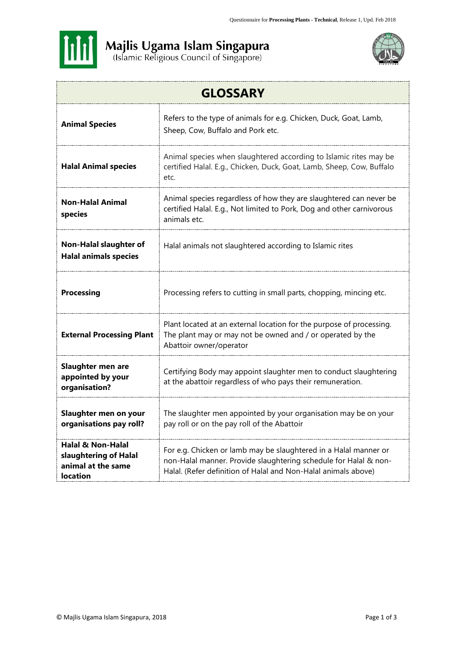



| <b>GLOSSARY</b>                                                                         |                                                                                                                                                                                                        |  |  |
|-----------------------------------------------------------------------------------------|--------------------------------------------------------------------------------------------------------------------------------------------------------------------------------------------------------|--|--|
| <b>Animal Species</b>                                                                   | Refers to the type of animals for e.g. Chicken, Duck, Goat, Lamb,<br>Sheep, Cow, Buffalo and Pork etc.                                                                                                 |  |  |
| <b>Halal Animal species</b>                                                             | Animal species when slaughtered according to Islamic rites may be<br>certified Halal. E.g., Chicken, Duck, Goat, Lamb, Sheep, Cow, Buffalo<br>etc.                                                     |  |  |
| <b>Non-Halal Animal</b><br>species                                                      | Animal species regardless of how they are slaughtered can never be<br>certified Halal. E.g., Not limited to Pork, Dog and other carnivorous<br>animals etc.                                            |  |  |
| <b>Non-Halal slaughter of</b><br><b>Halal animals species</b>                           | Halal animals not slaughtered according to Islamic rites                                                                                                                                               |  |  |
| <b>Processing</b>                                                                       | Processing refers to cutting in small parts, chopping, mincing etc.                                                                                                                                    |  |  |
| <b>External Processing Plant</b>                                                        | Plant located at an external location for the purpose of processing.<br>The plant may or may not be owned and / or operated by the<br>Abattoir owner/operator                                          |  |  |
| <b>Slaughter men are</b><br>appointed by your<br>organisation?                          | Certifying Body may appoint slaughter men to conduct slaughtering<br>at the abattoir regardless of who pays their remuneration.                                                                        |  |  |
| Slaughter men on your<br>organisations pay roll?                                        | The slaughter men appointed by your organisation may be on your<br>pay roll or on the pay roll of the Abattoir                                                                                         |  |  |
| <b>Halal &amp; Non-Halal</b><br>slaughtering of Halal<br>animal at the same<br>location | For e.g. Chicken or lamb may be slaughtered in a Halal manner or<br>non-Halal manner. Provide slaughtering schedule for Halal & non-<br>Halal. (Refer definition of Halal and Non-Halal animals above) |  |  |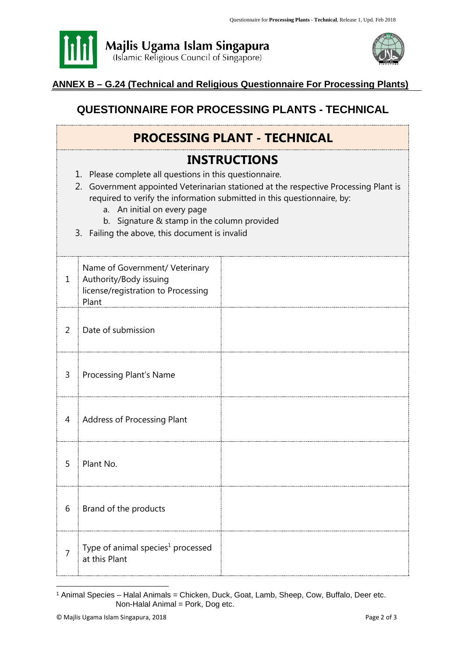



## **ANNEX B – G.24 (Technical and Religious Questionnaire For Processing Plants)**

## **QUESTIONNAIRE FOR PROCESSING PLANTS - TECHNICAL**

| <b>PROCESSING PLANT - TECHNICAL</b>                                                                                                                                                                                                                                                                                                                                               |                                                                                                         |  |  |
|-----------------------------------------------------------------------------------------------------------------------------------------------------------------------------------------------------------------------------------------------------------------------------------------------------------------------------------------------------------------------------------|---------------------------------------------------------------------------------------------------------|--|--|
| <b>INSTRUCTIONS</b><br>1. Please complete all questions in this questionnaire.<br>2. Government appointed Veterinarian stationed at the respective Processing Plant is<br>required to verify the information submitted in this questionnaire, by:<br>a. An initial on every page<br>b. Signature & stamp in the column provided<br>3. Failing the above, this document is invalid |                                                                                                         |  |  |
| $\mathbf{1}$                                                                                                                                                                                                                                                                                                                                                                      | Name of Government/ Veterinary<br>Authority/Body issuing<br>license/registration to Processing<br>Plant |  |  |
| $\overline{2}$                                                                                                                                                                                                                                                                                                                                                                    | Date of submission                                                                                      |  |  |
| $\overline{3}$                                                                                                                                                                                                                                                                                                                                                                    | <b>Processing Plant's Name</b>                                                                          |  |  |
| 4                                                                                                                                                                                                                                                                                                                                                                                 | Address of Processing Plant                                                                             |  |  |
| 5                                                                                                                                                                                                                                                                                                                                                                                 | Plant No.                                                                                               |  |  |
| 6                                                                                                                                                                                                                                                                                                                                                                                 | Brand of the products                                                                                   |  |  |
| 7                                                                                                                                                                                                                                                                                                                                                                                 | Type of animal species <sup>1</sup> processed<br>at this Plant                                          |  |  |

<sup>&</sup>lt;sup>1</sup> Animal Species – Halal Animals = Chicken, Duck, Goat, Lamb, Sheep, Cow, Buffalo, Deer etc. Non-Halal Animal = Pork, Dog etc.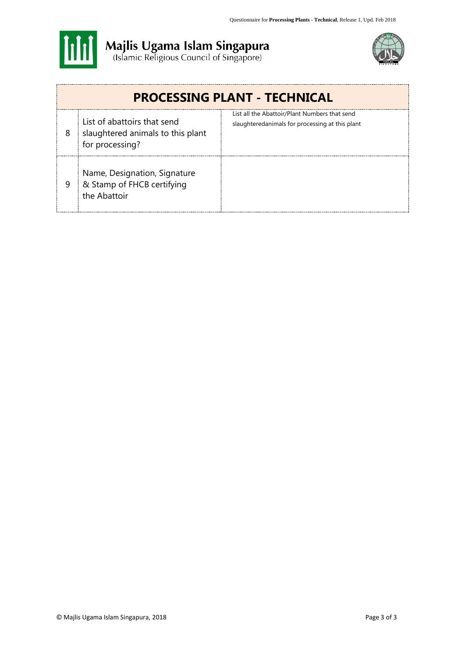



| <b>PROCESSING PLANT - TECHNICAL</b> |                                                                                     |                                                                                                  |  |
|-------------------------------------|-------------------------------------------------------------------------------------|--------------------------------------------------------------------------------------------------|--|
| 8                                   | List of abattoirs that send<br>slaughtered animals to this plant<br>for processing? | List all the Abattoir/Plant Numbers that send<br>slaughteredanimals for processing at this plant |  |
| 9                                   | Name, Designation, Signature<br>& Stamp of FHCB certifying<br>the Abattoir          |                                                                                                  |  |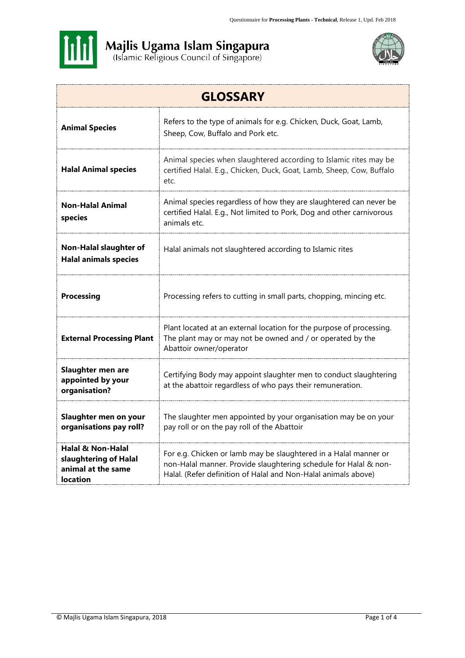



| <b>GLOSSARY</b>                                                                     |                                                                                                                                                                                                        |  |  |
|-------------------------------------------------------------------------------------|--------------------------------------------------------------------------------------------------------------------------------------------------------------------------------------------------------|--|--|
| <b>Animal Species</b>                                                               | Refers to the type of animals for e.g. Chicken, Duck, Goat, Lamb,<br>Sheep, Cow, Buffalo and Pork etc.                                                                                                 |  |  |
| <b>Halal Animal species</b>                                                         | Animal species when slaughtered according to Islamic rites may be<br>certified Halal. E.g., Chicken, Duck, Goat, Lamb, Sheep, Cow, Buffalo<br>etc.                                                     |  |  |
| <b>Non-Halal Animal</b><br>species                                                  | Animal species regardless of how they are slaughtered can never be<br>certified Halal. E.g., Not limited to Pork, Dog and other carnivorous<br>animals etc.                                            |  |  |
| <b>Non-Halal slaughter of</b><br><b>Halal animals species</b>                       | Halal animals not slaughtered according to Islamic rites                                                                                                                                               |  |  |
| <b>Processing</b>                                                                   | Processing refers to cutting in small parts, chopping, mincing etc.                                                                                                                                    |  |  |
| <b>External Processing Plant</b>                                                    | Plant located at an external location for the purpose of processing.<br>The plant may or may not be owned and / or operated by the<br>Abattoir owner/operator                                          |  |  |
| Slaughter men are<br>appointed by your<br>organisation?                             | Certifying Body may appoint slaughter men to conduct slaughtering<br>at the abattoir regardless of who pays their remuneration.                                                                        |  |  |
| Slaughter men on your<br>organisations pay roll?                                    | The slaughter men appointed by your organisation may be on your<br>pay roll or on the pay roll of the Abattoir                                                                                         |  |  |
| Halal & Non-Halal<br>slaughtering of Halal<br>animal at the same<br><b>location</b> | For e.g. Chicken or lamb may be slaughtered in a Halal manner or<br>non-Halal manner. Provide slaughtering schedule for Halal & non-<br>Halal. (Refer definition of Halal and Non-Halal animals above) |  |  |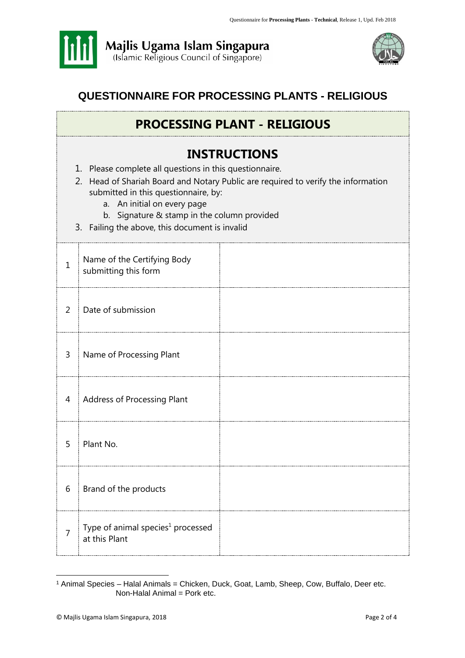



## **QUESTIONNAIRE FOR PROCESSING PLANTS - RELIGIOUS**

## **PROCESSING PLANT - RELIGIOUS**

## **INSTRUCTIONS**

- 1. Please complete all questions in this questionnaire.
- 2. Head of Shariah Board and Notary Public are required to verify the information submitted in this questionnaire, by:
	- a. An initial on every page
	- b. Signature & stamp in the column provided
- 3. Failing the above, this document is invalid

| $\mathbf{1}$   | Name of the Certifying Body<br>submitting this form            |  |
|----------------|----------------------------------------------------------------|--|
| $\overline{2}$ | Date of submission                                             |  |
| 3              | Name of Processing Plant                                       |  |
| $\overline{4}$ | Address of Processing Plant                                    |  |
| 5              | Plant No.                                                      |  |
| 6              | Brand of the products                                          |  |
| 7              | Type of animal species <sup>1</sup> processed<br>at this Plant |  |

<sup>&</sup>lt;sup>1</sup> Animal Species – Halal Animals = Chicken, Duck, Goat, Lamb, Sheep, Cow, Buffalo, Deer etc. Non-Halal Animal = Pork etc.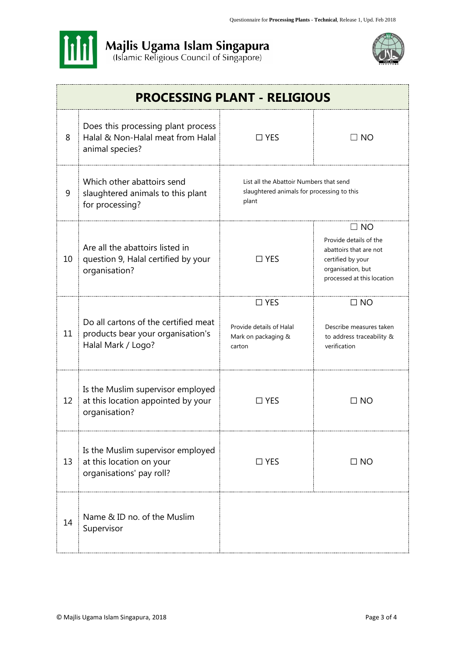



|    | <b>PROCESSING PLANT - RELIGIOUS</b>                                                             |                                                                                                |                                                                                                                                       |  |
|----|-------------------------------------------------------------------------------------------------|------------------------------------------------------------------------------------------------|---------------------------------------------------------------------------------------------------------------------------------------|--|
| 8  | Does this processing plant process<br>Halal & Non-Halal meat from Halal<br>animal species?      | $\Box$ YES                                                                                     | $\Box$ NO                                                                                                                             |  |
| 9  | Which other abattoirs send<br>slaughtered animals to this plant<br>for processing?              | List all the Abattoir Numbers that send<br>slaughtered animals for processing to this<br>plant |                                                                                                                                       |  |
| 10 | Are all the abattoirs listed in<br>question 9, Halal certified by your<br>organisation?         | $\Box$ YES                                                                                     | $\Box$ NO<br>Provide details of the<br>abattoirs that are not<br>certified by your<br>organisation, but<br>processed at this location |  |
| 11 | Do all cartons of the certified meat<br>products bear your organisation's<br>Halal Mark / Logo? | $\Box$ YES<br>Provide details of Halal<br>Mark on packaging &<br>carton                        | $\Box$ NO<br>Describe measures taken<br>to address traceability &<br>verification                                                     |  |
| 12 | Is the Muslim supervisor employed<br>at this location appointed by your<br>organisation?        | $\square$ YES                                                                                  | $\Box$ NO                                                                                                                             |  |
| 13 | Is the Muslim supervisor employed<br>at this location on your<br>organisations' pay roll?       | $\Box$ YES                                                                                     | $\Box$ NO                                                                                                                             |  |
| 14 | Name & ID no. of the Muslim<br>Supervisor                                                       |                                                                                                |                                                                                                                                       |  |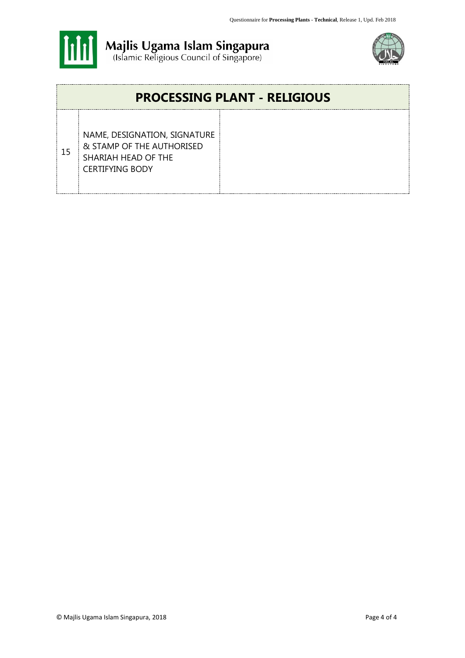



## **PROCESSING PLANT - RELIGIOUS** 15 NAME, DESIGNATION, SIGNATURE & STAMP OF THE AUTHORISED SHARIAH HEAD OF THE CERTIFYING BODY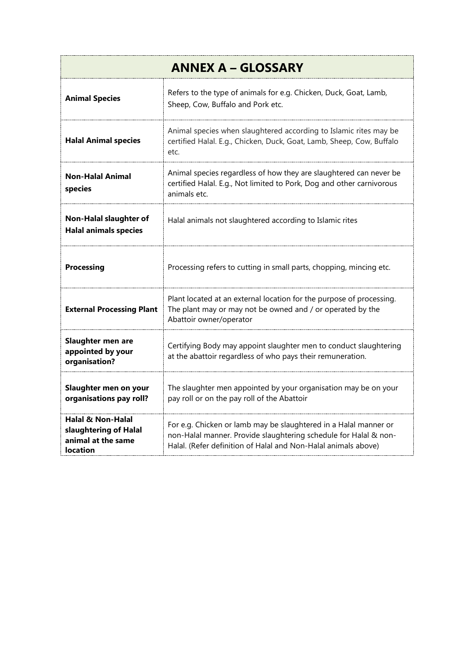| <b>ANNEX A - GLOSSARY</b>                                                                      |                                                                                                                                                                                                        |  |  |
|------------------------------------------------------------------------------------------------|--------------------------------------------------------------------------------------------------------------------------------------------------------------------------------------------------------|--|--|
| <b>Animal Species</b>                                                                          | Refers to the type of animals for e.g. Chicken, Duck, Goat, Lamb,<br>Sheep, Cow, Buffalo and Pork etc.                                                                                                 |  |  |
| <b>Halal Animal species</b>                                                                    | Animal species when slaughtered according to Islamic rites may be<br>certified Halal. E.g., Chicken, Duck, Goat, Lamb, Sheep, Cow, Buffalo<br>etc.                                                     |  |  |
| <b>Non-Halal Animal</b><br>species                                                             | Animal species regardless of how they are slaughtered can never be<br>certified Halal. E.g., Not limited to Pork, Dog and other carnivorous<br>animals etc.                                            |  |  |
| <b>Non-Halal slaughter of</b><br><b>Halal animals species</b>                                  | Halal animals not slaughtered according to Islamic rites                                                                                                                                               |  |  |
| <b>Processing</b>                                                                              | Processing refers to cutting in small parts, chopping, mincing etc.                                                                                                                                    |  |  |
| <b>External Processing Plant</b>                                                               | Plant located at an external location for the purpose of processing.<br>The plant may or may not be owned and / or operated by the<br>Abattoir owner/operator                                          |  |  |
| Slaughter men are<br>appointed by your<br>organisation?                                        | Certifying Body may appoint slaughter men to conduct slaughtering<br>at the abattoir regardless of who pays their remuneration.                                                                        |  |  |
| Slaughter men on your<br>organisations pay roll?                                               | The slaughter men appointed by your organisation may be on your<br>pay roll or on the pay roll of the Abattoir                                                                                         |  |  |
| <b>Halal &amp; Non-Halal</b><br>slaughtering of Halal<br>animal at the same<br><b>location</b> | For e.g. Chicken or lamb may be slaughtered in a Halal manner or<br>non-Halal manner. Provide slaughtering schedule for Halal & non-<br>Halal. (Refer definition of Halal and Non-Halal animals above) |  |  |